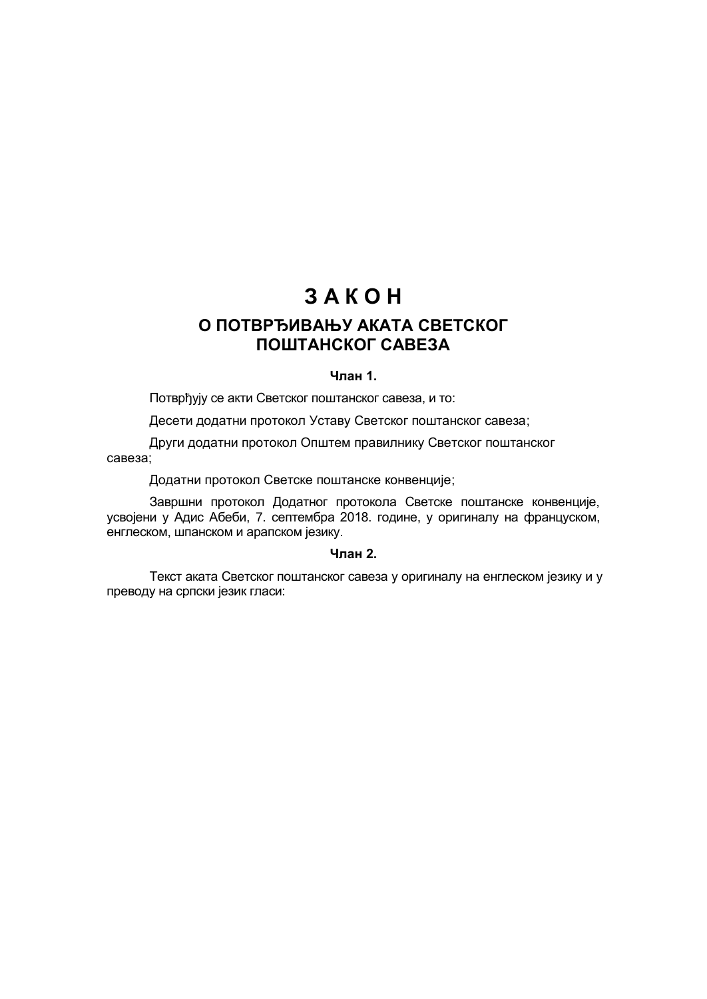# **З А К О Н**

## **О ПОТВРЂИВАЊУ АКАТА СВЕТСКОГ ПОШТАНСКОГ САВЕЗА**

## **Члан 1.**

Потврђују се акти Светског поштанског савеза, и то:

Десети додатни протокол Уставу Светског поштанског савеза;

Други додатни протокол Општем правилнику Светског поштанског савеза;

Додатни протокол Светске поштанске конвенције;

Завршни протокол Додатног протокола Светске поштанске конвенције, усвојени у Адис Абеби, 7. септембра 2018. године, у оригиналу на француском, енглеском, шпанском и арапском језику.

## **Члан 2.**

Текст аката Светског поштанског савеза у оригиналу на енглеском језику и у преводу на српски језик гласи: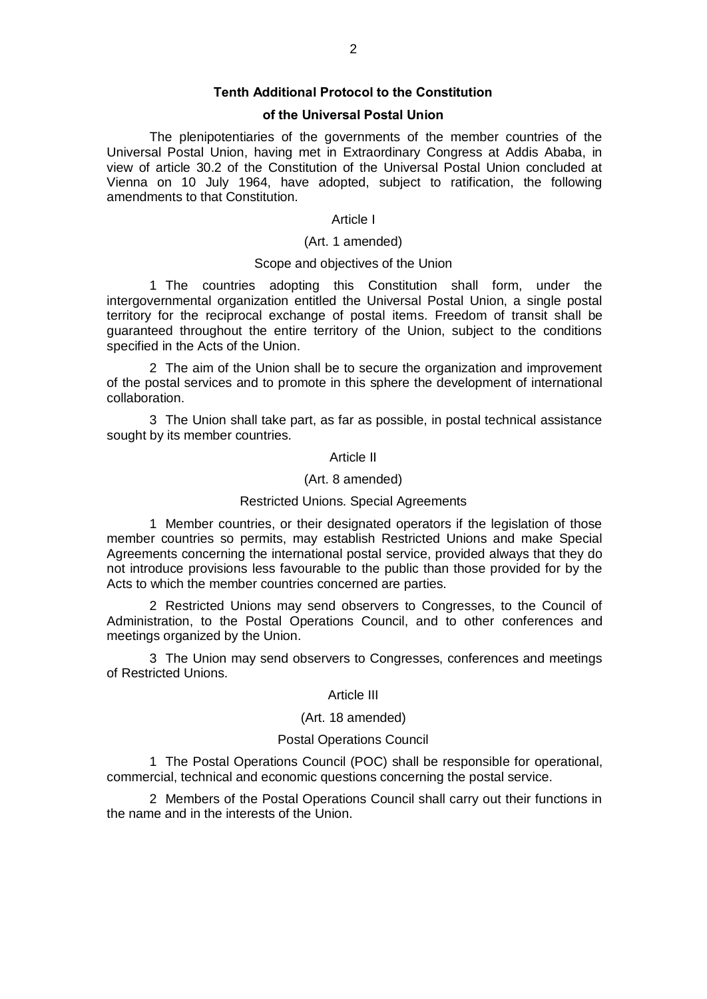## **Tenth Additional Protocol to the Constitution**

## **of the Universal Postal Union**

The plenipotentiaries of the governments of the member countries of the Universal Postal Union, having met in Extraordinary Congress at Addis Ababa, in view of article 30.2 of the Constitution of the Universal Postal Union concluded at Vienna on 10 July 1964, have adopted, subject to ratification, the following amendments to that Constitution.

## Article I

## (Art. 1 amended)

#### Scope and objectives of the Union

1 The countries adopting this Constitution shall form, under the intergovernmental organization entitled the Universal Postal Union, a single postal territory for the reciprocal exchange of postal items. Freedom of transit shall be guaranteed throughout the entire territory of the Union, subject to the conditions specified in the Acts of the Union.

2 The aim of the Union shall be to secure the organization and improvement of the postal services and to promote in this sphere the development of international collaboration.

3 The Union shall take part, as far as possible, in postal technical assistance sought by its member countries.

#### Article II

#### (Art. 8 amended)

#### Restricted Unions. Special Agreements

1 Member countries, or their designated operators if the legislation of those member countries so permits, may establish Restricted Unions and make Special Agreements concerning the international postal service, provided always that they do not introduce provisions less favourable to the public than those provided for by the Acts to which the member countries concerned are parties.

2 Restricted Unions may send observers to Congresses, to the Council of Administration, to the Postal Operations Council, and to other conferences and meetings organized by the Union.

3 The Union may send observers to Congresses, conferences and meetings of Restricted Unions.

#### Article III

#### (Art. 18 amended)

### Postal Operations Council

1 The Postal Operations Council (POC) shall be responsible for operational, commercial, technical and economic questions concerning the postal service.

2 Members of the Postal Operations Council shall carry out their functions in the name and in the interests of the Union.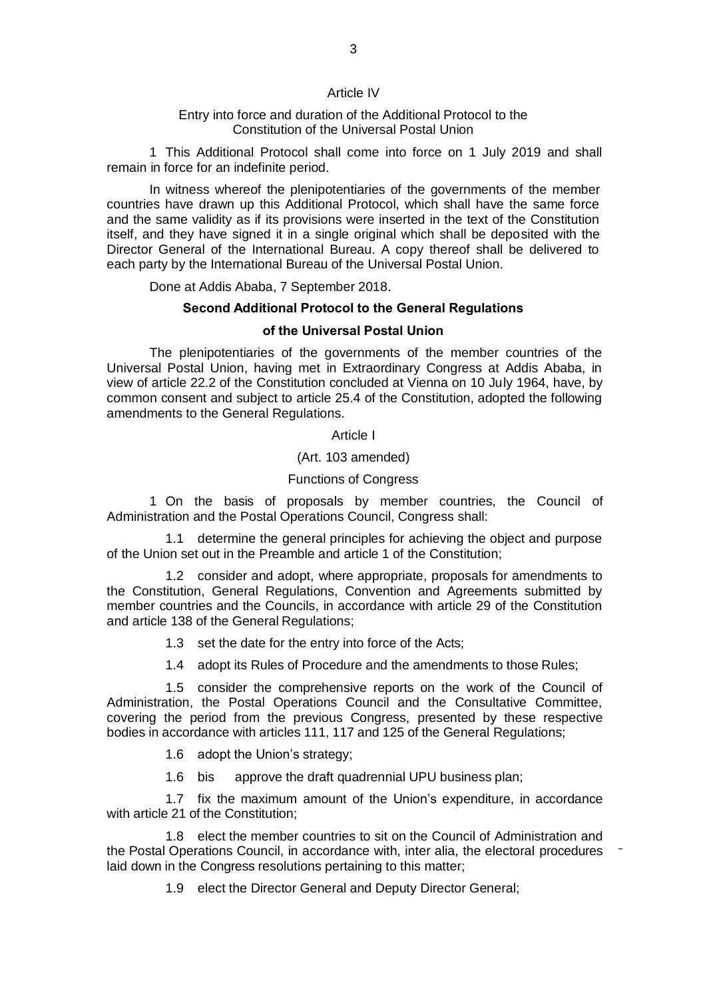#### Article IV

#### Entry into force and duration of the Additional Protocol to the Constitution of the Universal Postal Union

1 This Additional Protocol shall come into force on 1 July 2019 and shall remain in force for an indefinite period.

In witness whereof the plenipotentiaries of the governments of the member countries have drawn up this Additional Protocol, which shall have the same force and the same validity as if its provisions were inserted in the text of the Constitution itself, and they have signed it in a single original which shall be deposited with the Director General of the International Bureau. A copy thereof shall be delivered to each party by the International Bureau of the Universal Postal Union.

Done at Addis Ababa, 7 September 2018.

### **Second Additional Protocol to the General Regulations**

## **of the Universal Postal Union**

The plenipotentiaries of the governments of the member countries of the Universal Postal Union, having met in Extraordinary Congress at Addis Ababa, in view of article 22.2 of the Constitution concluded at Vienna on 10 July 1964, have, by common consent and subject to article 25.4 of the Constitution, adopted the following amendments to the General Regulations.

Article I

(Art. 103 amended)

#### Functions of Congress

1 On the basis of proposals by member countries, the Council of Administration and the Postal Operations Council, Congress shall:

1.1 determine the general principles for achieving the object and purpose of the Union set out in the Preamble and article 1 of the Constitution;

1.2 consider and adopt, where appropriate, proposals for amendments to the Constitution, General Regulations, Convention and Agreements submitted by member countries and the Councils, in accordance with article 29 of the Constitution and article 138 of the General Regulations;

- 1.3 set the date for the entry into force of the Acts;
- 1.4 adopt its Rules of Procedure and the amendments to those Rules;

1.5 consider the comprehensive reports on the work of the Council of Administration, the Postal Operations Council and the Consultative Committee, covering the period from the previous Congress, presented by these respective bodies in accordance with articles 111, 117 and 125 of the General Regulations;

1.6 adopt the Union's strategy;

1.6 bis approve the draft quadrennial UPU business plan;

1.7 fix the maximum amount of the Union's expenditure, in accordance with article 21 of the Constitution;

1.8 elect the member countries to sit on the Council of Administration and the Postal Operations Council, in accordance with, inter alia, the electoral procedures laid down in the Congress resolutions pertaining to this matter;

1.9 elect the Director General and Deputy Director General;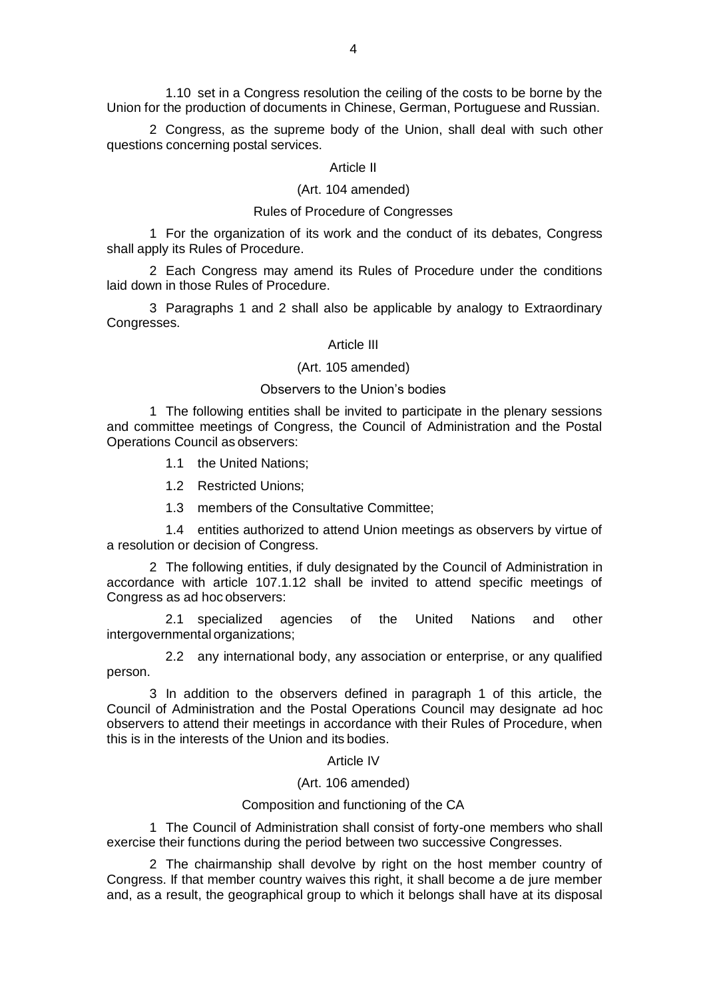1.10 set in a Congress resolution the ceiling of the costs to be borne by the Union for the production of documents in Chinese, German, Portuguese and Russian.

2 Congress, as the supreme body of the Union, shall deal with such other questions concerning postal services.

#### Article II

## (Art. 104 amended)

## Rules of Procedure of Congresses

1 For the organization of its work and the conduct of its debates, Congress shall apply its Rules of Procedure.

2 Each Congress may amend its Rules of Procedure under the conditions laid down in those Rules of Procedure.

3 Paragraphs 1 and 2 shall also be applicable by analogy to Extraordinary Congresses.

## Article III

#### (Art. 105 amended)

#### Observers to the Union's bodies

1 The following entities shall be invited to participate in the plenary sessions and committee meetings of Congress, the Council of Administration and the Postal Operations Council as observers:

1.1 the United Nations;

1.2 Restricted Unions;

1.3 members of the Consultative Committee;

1.4 entities authorized to attend Union meetings as observers by virtue of a resolution or decision of Congress.

2 The following entities, if duly designated by the Council of Administration in accordance with article 107.1.12 shall be invited to attend specific meetings of Congress as ad hoc observers:

2.1 specialized agencies of the United Nations and other intergovernmental organizations;

2.2 any international body, any association or enterprise, or any qualified person.

3 In addition to the observers defined in paragraph 1 of this article, the Council of Administration and the Postal Operations Council may designate ad hoc observers to attend their meetings in accordance with their Rules of Procedure, when this is in the interests of the Union and its bodies.

Article IV

(Art. 106 amended)

#### Composition and functioning of the CA

1 The Council of Administration shall consist of forty-one members who shall exercise their functions during the period between two successive Congresses.

2 The chairmanship shall devolve by right on the host member country of Congress. If that member country waives this right, it shall become a de jure member and, as a result, the geographical group to which it belongs shall have at its disposal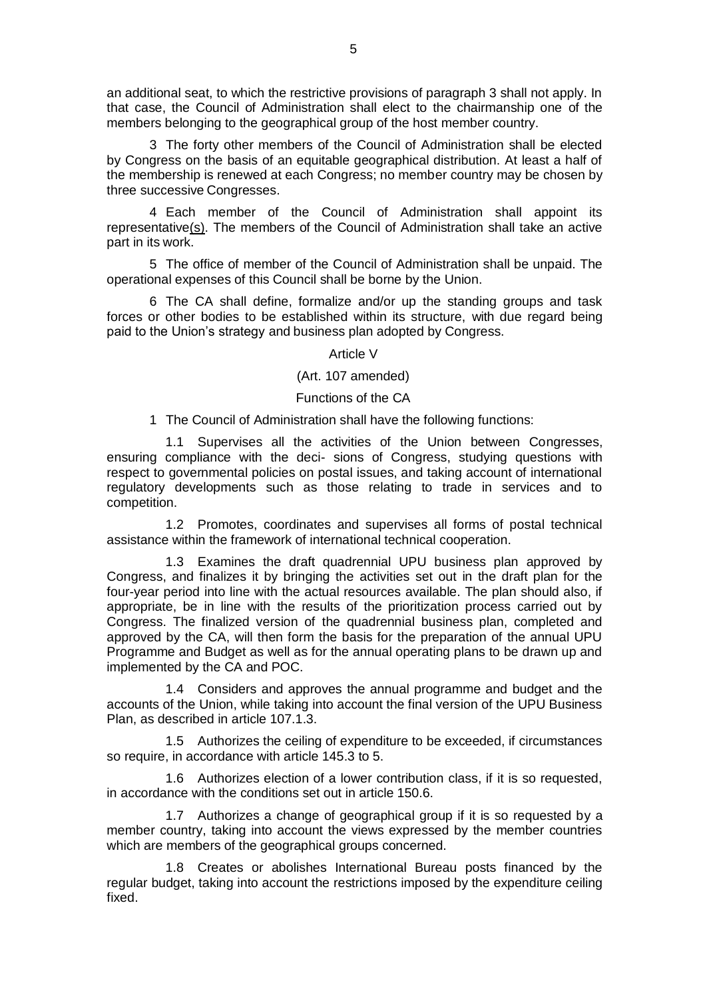an additional seat, to which the restrictive provisions of paragraph 3 shall not apply. In that case, the Council of Administration shall elect to the chairmanship one of the members belonging to the geographical group of the host member country.

3 The forty other members of the Council of Administration shall be elected by Congress on the basis of an equitable geographical distribution. At least a half of the membership is renewed at each Congress; no member country may be chosen by three successive Congresses.

4 Each member of the Council of Administration shall appoint its representative(s). The members of the Council of Administration shall take an active part in its work.

5 The office of member of the Council of Administration shall be unpaid. The operational expenses of this Council shall be borne by the Union.

6 The CA shall define, formalize and/or up the standing groups and task forces or other bodies to be established within its structure, with due regard being paid to the Union's strategy and business plan adopted by Congress.

### Article V

## (Art. 107 amended)

## Functions of the CA

1 The Council of Administration shall have the following functions:

1.1 Supervises all the activities of the Union between Congresses, ensuring compliance with the deci- sions of Congress, studying questions with respect to governmental policies on postal issues, and taking account of international regulatory developments such as those relating to trade in services and to competition.

1.2 Promotes, coordinates and supervises all forms of postal technical assistance within the framework of international technical cooperation.

1.3 Examines the draft quadrennial UPU business plan approved by Congress, and finalizes it by bringing the activities set out in the draft plan for the four-year period into line with the actual resources available. The plan should also, if appropriate, be in line with the results of the prioritization process carried out by Congress. The finalized version of the quadrennial business plan, completed and approved by the CA, will then form the basis for the preparation of the annual UPU Programme and Budget as well as for the annual operating plans to be drawn up and implemented by the CA and POC.

1.4 Considers and approves the annual programme and budget and the accounts of the Union, while taking into account the final version of the UPU Business Plan, as described in article 107.1.3.

1.5 Authorizes the ceiling of expenditure to be exceeded, if circumstances so require, in accordance with article 145.3 to 5.

1.6 Authorizes election of a lower contribution class, if it is so requested, in accordance with the conditions set out in article 150.6.

1.7 Authorizes a change of geographical group if it is so requested by a member country, taking into account the views expressed by the member countries which are members of the geographical groups concerned.

1.8 Creates or abolishes International Bureau posts financed by the regular budget, taking into account the restrictions imposed by the expenditure ceiling fixed.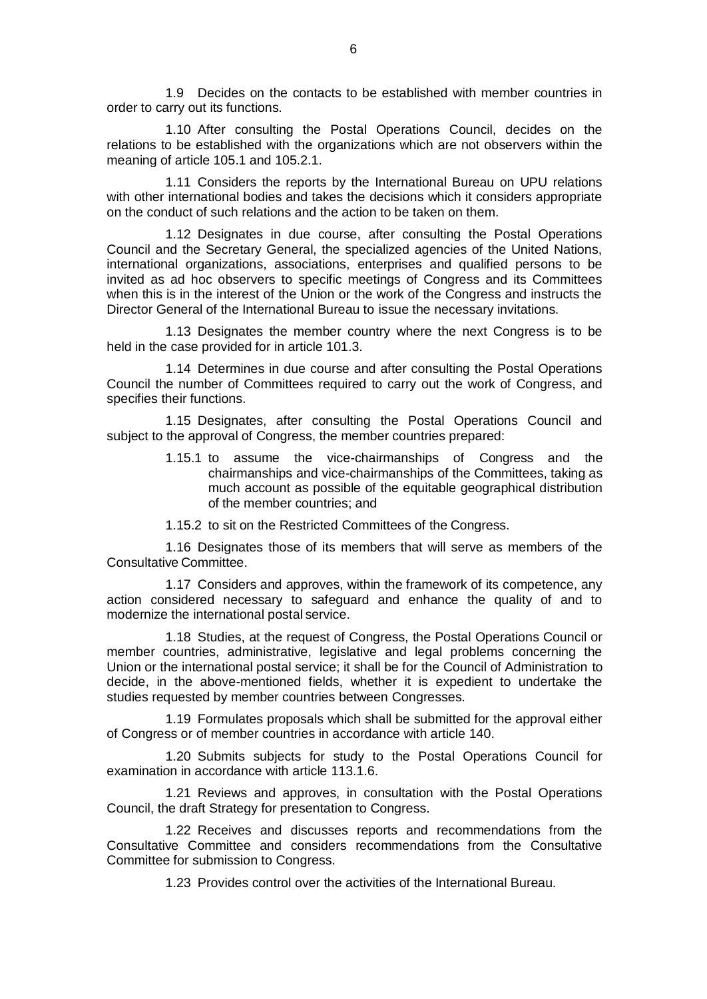1.9 Decides on the contacts to be established with member countries in order to carry out its functions.

1.10 After consulting the Postal Operations Council, decides on the relations to be established with the organizations which are not observers within the meaning of article 105.1 and 105.2.1.

1.11 Considers the reports by the International Bureau on UPU relations with other international bodies and takes the decisions which it considers appropriate on the conduct of such relations and the action to be taken on them.

1.12 Designates in due course, after consulting the Postal Operations Council and the Secretary General, the specialized agencies of the United Nations, international organizations, associations, enterprises and qualified persons to be invited as ad hoc observers to specific meetings of Congress and its Committees when this is in the interest of the Union or the work of the Congress and instructs the Director General of the International Bureau to issue the necessary invitations.

1.13 Designates the member country where the next Congress is to be held in the case provided for in article 101.3.

1.14 Determines in due course and after consulting the Postal Operations Council the number of Committees required to carry out the work of Congress, and specifies their functions.

1.15 Designates, after consulting the Postal Operations Council and subject to the approval of Congress, the member countries prepared:

> 1.15.1 to assume the vice-chairmanships of Congress and the chairmanships and vice-chairmanships of the Committees, taking as much account as possible of the equitable geographical distribution of the member countries; and

1.15.2 to sit on the Restricted Committees of the Congress.

1.16 Designates those of its members that will serve as members of the Consultative Committee.

1.17 Considers and approves, within the framework of its competence, any action considered necessary to safeguard and enhance the quality of and to modernize the international postal service.

1.18 Studies, at the request of Congress, the Postal Operations Council or member countries, administrative, legislative and legal problems concerning the Union or the international postal service; it shall be for the Council of Administration to decide, in the above-mentioned fields, whether it is expedient to undertake the studies requested by member countries between Congresses.

1.19 Formulates proposals which shall be submitted for the approval either of Congress or of member countries in accordance with article 140.

1.20 Submits subjects for study to the Postal Operations Council for examination in accordance with article 113.1.6.

1.21 Reviews and approves, in consultation with the Postal Operations Council, the draft Strategy for presentation to Congress.

1.22 Receives and discusses reports and recommendations from the Consultative Committee and considers recommendations from the Consultative Committee for submission to Congress.

1.23 Provides control over the activities of the International Bureau.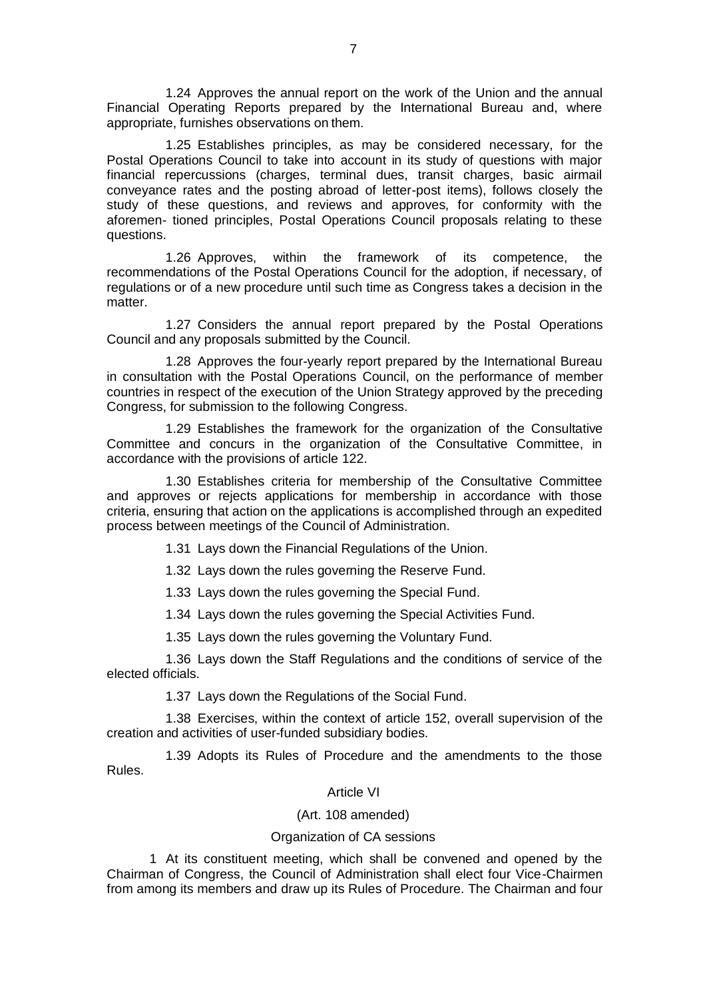1.24 Approves the annual report on the work of the Union and the annual Financial Operating Reports prepared by the International Bureau and, where appropriate, furnishes observations on them.

1.25 Establishes principles, as may be considered necessary, for the Postal Operations Council to take into account in its study of questions with major financial repercussions (charges, terminal dues, transit charges, basic airmail conveyance rates and the posting abroad of letter-post items), follows closely the study of these questions, and reviews and approves, for conformity with the aforemen- tioned principles, Postal Operations Council proposals relating to these questions.

1.26 Approves, within the framework of its competence, the recommendations of the Postal Operations Council for the adoption, if necessary, of regulations or of a new procedure until such time as Congress takes a decision in the matter.

1.27 Considers the annual report prepared by the Postal Operations Council and any proposals submitted by the Council.

1.28 Approves the four-yearly report prepared by the International Bureau in consultation with the Postal Operations Council, on the performance of member countries in respect of the execution of the Union Strategy approved by the preceding Congress, for submission to the following Congress.

1.29 Establishes the framework for the organization of the Consultative Committee and concurs in the organization of the Consultative Committee, in accordance with the provisions of article 122.

1.30 Establishes criteria for membership of the Consultative Committee and approves or rejects applications for membership in accordance with those criteria, ensuring that action on the applications is accomplished through an expedited process between meetings of the Council of Administration.

1.31 Lays down the Financial Regulations of the Union.

1.32 Lays down the rules governing the Reserve Fund.

1.33 Lays down the rules governing the Special Fund.

1.34 Lays down the rules governing the Special Activities Fund.

1.35 Lays down the rules governing the Voluntary Fund.

1.36 Lays down the Staff Regulations and the conditions of service of the elected officials.

1.37 Lays down the Regulations of the Social Fund.

1.38 Exercises, within the context of article 152, overall supervision of the creation and activities of user-funded subsidiary bodies.

1.39 Adopts its Rules of Procedure and the amendments to the those Rules.

## Article VI

## (Art. 108 amended)

## Organization of CA sessions

1 At its constituent meeting, which shall be convened and opened by the Chairman of Congress, the Council of Administration shall elect four Vice-Chairmen from among its members and draw up its Rules of Procedure. The Chairman and four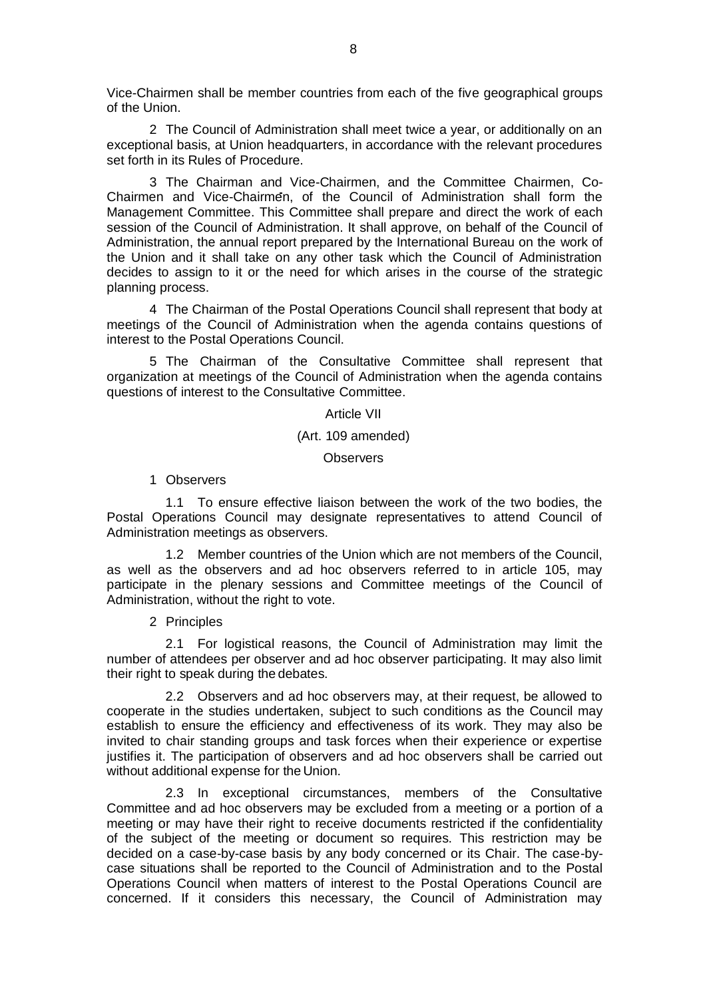Vice-Chairmen shall be member countries from each of the five geographical groups of the Union.

2 The Council of Administration shall meet twice a year, or additionally on an exceptional basis, at Union headquarters, in accordance with the relevant procedures set forth in its Rules of Procedure.

3 The Chairman and Vice-Chairmen, and the Committee Chairmen, Co-Chairmen and Vice-Chairmen, of the Council of Administration shall form the Management Committee. This Committee shall prepare and direct the work of each session of the Council of Administration. It shall approve, on behalf of the Council of Administration, the annual report prepared by the International Bureau on the work of the Union and it shall take on any other task which the Council of Administration decides to assign to it or the need for which arises in the course of the strategic planning process.

4 The Chairman of the Postal Operations Council shall represent that body at meetings of the Council of Administration when the agenda contains questions of interest to the Postal Operations Council.

5 The Chairman of the Consultative Committee shall represent that organization at meetings of the Council of Administration when the agenda contains questions of interest to the Consultative Committee.

Article VII

## (Art. 109 amended)

**Observers** 

1 Observers

1.1 To ensure effective liaison between the work of the two bodies, the Postal Operations Council may designate representatives to attend Council of Administration meetings as observers.

1.2 Member countries of the Union which are not members of the Council, as well as the observers and ad hoc observers referred to in article 105, may participate in the plenary sessions and Committee meetings of the Council of Administration, without the right to vote.

2 Principles

2.1 For logistical reasons, the Council of Administration may limit the number of attendees per observer and ad hoc observer participating. It may also limit their right to speak during the debates.

2.2 Observers and ad hoc observers may, at their request, be allowed to cooperate in the studies undertaken, subject to such conditions as the Council may establish to ensure the efficiency and effectiveness of its work. They may also be invited to chair standing groups and task forces when their experience or expertise justifies it. The participation of observers and ad hoc observers shall be carried out without additional expense for the Union.

2.3 In exceptional circumstances, members of the Consultative Committee and ad hoc observers may be excluded from a meeting or a portion of a meeting or may have their right to receive documents restricted if the confidentiality of the subject of the meeting or document so requires. This restriction may be decided on a case-by-case basis by any body concerned or its Chair. The case-bycase situations shall be reported to the Council of Administration and to the Postal Operations Council when matters of interest to the Postal Operations Council are concerned. If it considers this necessary, the Council of Administration may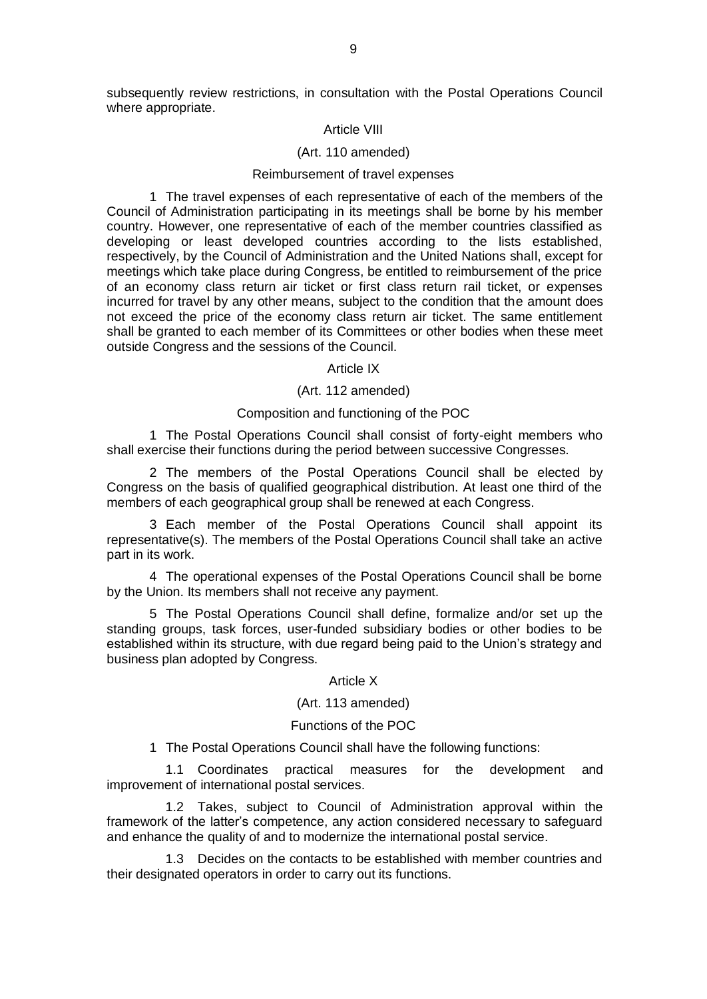subsequently review restrictions, in consultation with the Postal Operations Council where appropriate.

#### Article VIII

#### (Art. 110 amended)

#### Reimbursement of travel expenses

1 The travel expenses of each representative of each of the members of the Council of Administration participating in its meetings shall be borne by his member country. However, one representative of each of the member countries classified as developing or least developed countries according to the lists established, respectively, by the Council of Administration and the United Nations shall, except for meetings which take place during Congress, be entitled to reimbursement of the price of an economy class return air ticket or first class return rail ticket, or expenses incurred for travel by any other means, subject to the condition that the amount does not exceed the price of the economy class return air ticket. The same entitlement shall be granted to each member of its Committees or other bodies when these meet outside Congress and the sessions of the Council.

#### Article IX

#### (Art. 112 amended)

#### Composition and functioning of the POC

1 The Postal Operations Council shall consist of forty-eight members who shall exercise their functions during the period between successive Congresses.

2 The members of the Postal Operations Council shall be elected by Congress on the basis of qualified geographical distribution. At least one third of the members of each geographical group shall be renewed at each Congress.

3 Each member of the Postal Operations Council shall appoint its representative(s). The members of the Postal Operations Council shall take an active part in its work.

4 The operational expenses of the Postal Operations Council shall be borne by the Union. Its members shall not receive any payment.

5 The Postal Operations Council shall define, formalize and/or set up the standing groups, task forces, user-funded subsidiary bodies or other bodies to be established within its structure, with due regard being paid to the Union's strategy and business plan adopted by Congress.

#### Article X

#### (Art. 113 amended)

#### Functions of the POC

1 The Postal Operations Council shall have the following functions:

1.1 Coordinates practical measures for the development and improvement of international postal services.

1.2 Takes, subject to Council of Administration approval within the framework of the latter's competence, any action considered necessary to safeguard and enhance the quality of and to modernize the international postal service.

1.3 Decides on the contacts to be established with member countries and their designated operators in order to carry out its functions.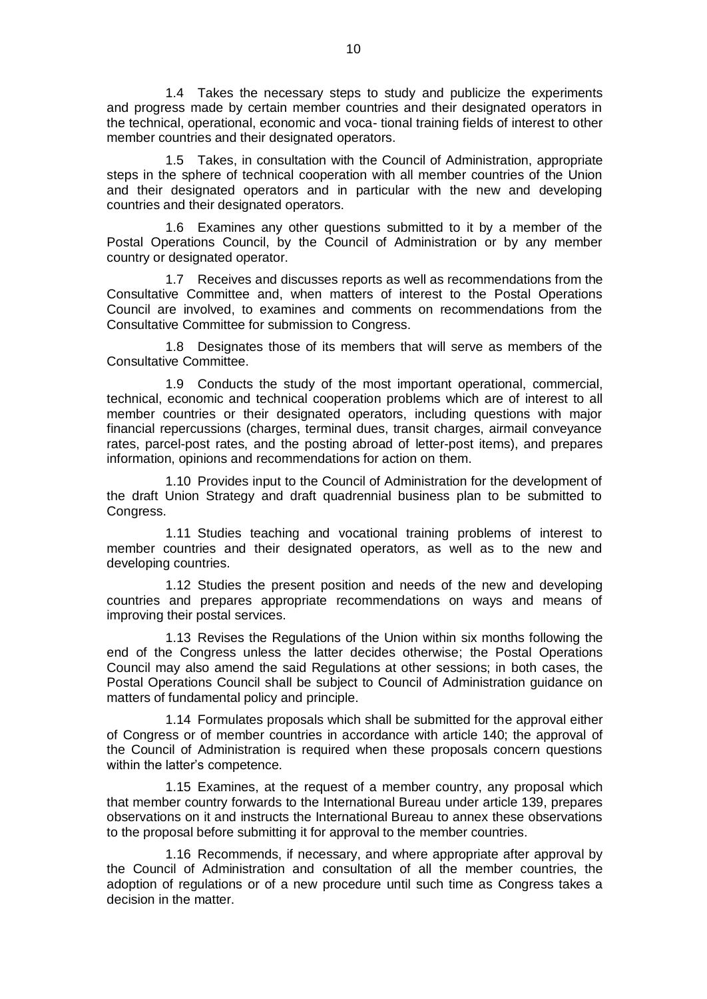1.4 Takes the necessary steps to study and publicize the experiments and progress made by certain member countries and their designated operators in the technical, operational, economic and voca- tional training fields of interest to other member countries and their designated operators.

1.5 Takes, in consultation with the Council of Administration, appropriate steps in the sphere of technical cooperation with all member countries of the Union and their designated operators and in particular with the new and developing countries and their designated operators.

1.6 Examines any other questions submitted to it by a member of the Postal Operations Council, by the Council of Administration or by any member country or designated operator.

1.7 Receives and discusses reports as well as recommendations from the Consultative Committee and, when matters of interest to the Postal Operations Council are involved, to examines and comments on recommendations from the Consultative Committee for submission to Congress.

1.8 Designates those of its members that will serve as members of the Consultative Committee.

1.9 Conducts the study of the most important operational, commercial, technical, economic and technical cooperation problems which are of interest to all member countries or their designated operators, including questions with major financial repercussions (charges, terminal dues, transit charges, airmail conveyance rates, parcel-post rates, and the posting abroad of letter-post items), and prepares information, opinions and recommendations for action on them.

1.10 Provides input to the Council of Administration for the development of the draft Union Strategy and draft quadrennial business plan to be submitted to Congress.

1.11 Studies teaching and vocational training problems of interest to member countries and their designated operators, as well as to the new and developing countries.

1.12 Studies the present position and needs of the new and developing countries and prepares appropriate recommendations on ways and means of improving their postal services.

1.13 Revises the Regulations of the Union within six months following the end of the Congress unless the latter decides otherwise; the Postal Operations Council may also amend the said Regulations at other sessions; in both cases, the Postal Operations Council shall be subject to Council of Administration guidance on matters of fundamental policy and principle.

1.14 Formulates proposals which shall be submitted for the approval either of Congress or of member countries in accordance with article 140; the approval of the Council of Administration is required when these proposals concern questions within the latter's competence.

1.15 Examines, at the request of a member country, any proposal which that member country forwards to the International Bureau under article 139, prepares observations on it and instructs the International Bureau to annex these observations to the proposal before submitting it for approval to the member countries.

1.16 Recommends, if necessary, and where appropriate after approval by the Council of Administration and consultation of all the member countries, the adoption of regulations or of a new procedure until such time as Congress takes a decision in the matter.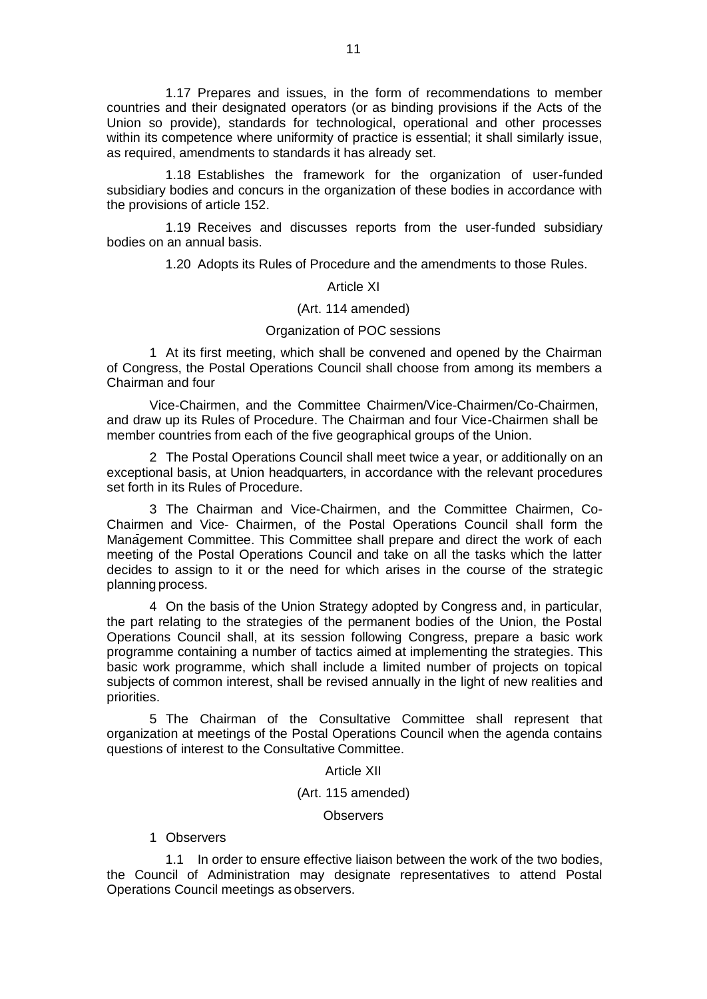1.17 Prepares and issues, in the form of recommendations to member countries and their designated operators (or as binding provisions if the Acts of the Union so provide), standards for technological, operational and other processes within its competence where uniformity of practice is essential; it shall similarly issue, as required, amendments to standards it has already set.

1.18 Establishes the framework for the organization of user-funded subsidiary bodies and concurs in the organization of these bodies in accordance with the provisions of article 152.

1.19 Receives and discusses reports from the user-funded subsidiary bodies on an annual basis.

1.20 Adopts its Rules of Procedure and the amendments to those Rules.

#### Article XI

#### (Art. 114 amended)

#### Organization of POC sessions

1 At its first meeting, which shall be convened and opened by the Chairman of Congress, the Postal Operations Council shall choose from among its members a Chairman and four

Vice-Chairmen, and the Committee Chairmen/Vice-Chairmen/Co-Chairmen, and draw up its Rules of Procedure. The Chairman and four Vice-Chairmen shall be member countries from each of the five geographical groups of the Union.

2 The Postal Operations Council shall meet twice a year, or additionally on an exceptional basis, at Union headquarters, in accordance with the relevant procedures set forth in its Rules of Procedure.

3 The Chairman and Vice-Chairmen, and the Committee Chairmen, Co-Chairmen and Vice- Chairmen, of the Postal Operations Council shall form the Management Committee. This Committee shall prepare and direct the work of each meeting of the Postal Operations Council and take on all the tasks which the latter decides to assign to it or the need for which arises in the course of the strategic planning process.

4 On the basis of the Union Strategy adopted by Congress and, in particular, the part relating to the strategies of the permanent bodies of the Union, the Postal Operations Council shall, at its session following Congress, prepare a basic work programme containing a number of tactics aimed at implementing the strategies. This basic work programme, which shall include a limited number of projects on topical subjects of common interest, shall be revised annually in the light of new realities and priorities.

5 The Chairman of the Consultative Committee shall represent that organization at meetings of the Postal Operations Council when the agenda contains questions of interest to the Consultative Committee.

Article XII

(Art. 115 amended)

**Observers** 

## 1 Observers

1.1 In order to ensure effective liaison between the work of the two bodies, the Council of Administration may designate representatives to attend Postal Operations Council meetings as observers.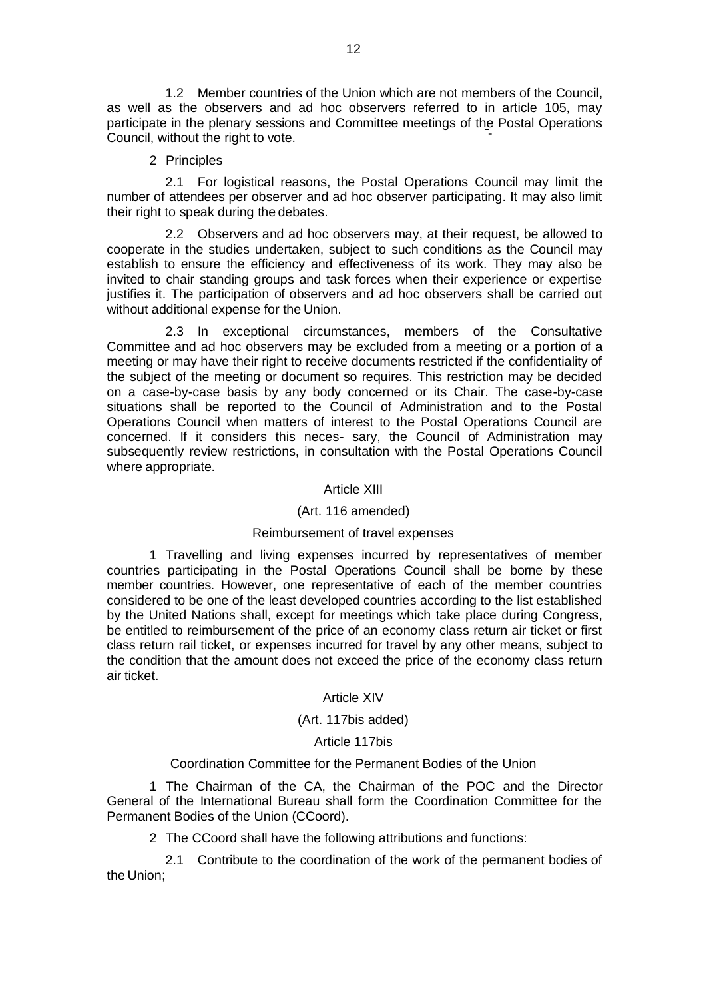1.2 Member countries of the Union which are not members of the Council, as well as the observers and ad hoc observers referred to in article 105, may participate in the plenary sessions and Committee meetings of the Postal Operations Council, without the right to vote.

2 Principles

2.1 For logistical reasons, the Postal Operations Council may limit the number of attendees per observer and ad hoc observer participating. It may also limit their right to speak during the debates.

2.2 Observers and ad hoc observers may, at their request, be allowed to cooperate in the studies undertaken, subject to such conditions as the Council may establish to ensure the efficiency and effectiveness of its work. They may also be invited to chair standing groups and task forces when their experience or expertise justifies it. The participation of observers and ad hoc observers shall be carried out without additional expense for the Union.

2.3 In exceptional circumstances, members of the Consultative Committee and ad hoc observers may be excluded from a meeting or a portion of a meeting or may have their right to receive documents restricted if the confidentiality of the subject of the meeting or document so requires. This restriction may be decided on a case-by-case basis by any body concerned or its Chair. The case-by-case situations shall be reported to the Council of Administration and to the Postal Operations Council when matters of interest to the Postal Operations Council are concerned. If it considers this neces- sary, the Council of Administration may subsequently review restrictions, in consultation with the Postal Operations Council where appropriate.

## Article XIII

## (Art. 116 amended)

## Reimbursement of travel expenses

1 Travelling and living expenses incurred by representatives of member countries participating in the Postal Operations Council shall be borne by these member countries. However, one representative of each of the member countries considered to be one of the least developed countries according to the list established by the United Nations shall, except for meetings which take place during Congress, be entitled to reimbursement of the price of an economy class return air ticket or first class return rail ticket, or expenses incurred for travel by any other means, subject to the condition that the amount does not exceed the price of the economy class return air ticket.

## Article XIV

## (Art. 117bis added)

## Article 117bis

## Coordination Committee for the Permanent Bodies of the Union

1 The Chairman of the CA, the Chairman of the POC and the Director General of the International Bureau shall form the Coordination Committee for the Permanent Bodies of the Union (CCoord).

2 The CCoord shall have the following attributions and functions:

2.1 Contribute to the coordination of the work of the permanent bodies of the Union;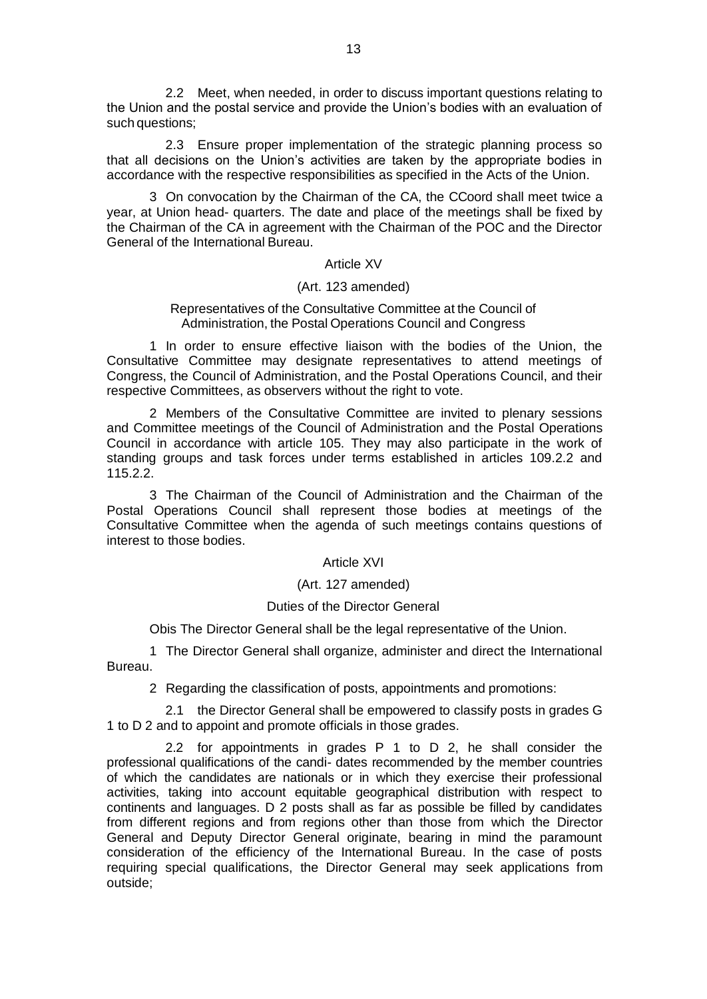2.2 Meet, when needed, in order to discuss important questions relating to the Union and the postal service and provide the Union's bodies with an evaluation of such questions;

2.3 Ensure proper implementation of the strategic planning process so that all decisions on the Union's activities are taken by the appropriate bodies in accordance with the respective responsibilities as specified in the Acts of the Union.

3 On convocation by the Chairman of the CA, the CCoord shall meet twice a year, at Union head- quarters. The date and place of the meetings shall be fixed by the Chairman of the CA in agreement with the Chairman of the POC and the Director General of the International Bureau.

#### Article XV

## (Art. 123 amended)

## Representatives of the Consultative Committee at the Council of Administration, the Postal Operations Council and Congress

1 In order to ensure effective liaison with the bodies of the Union, the Consultative Committee may designate representatives to attend meetings of Congress, the Council of Administration, and the Postal Operations Council, and their respective Committees, as observers without the right to vote.

2 Members of the Consultative Committee are invited to plenary sessions and Committee meetings of the Council of Administration and the Postal Operations Council in accordance with article 105. They may also participate in the work of standing groups and task forces under terms established in articles 109.2.2 and 115.2.2.

3 The Chairman of the Council of Administration and the Chairman of the Postal Operations Council shall represent those bodies at meetings of the Consultative Committee when the agenda of such meetings contains questions of interest to those bodies.

## Article XVI

## (Art. 127 amended)

#### Duties of the Director General

Obis The Director General shall be the legal representative of the Union.

1 The Director General shall organize, administer and direct the International Bureau.

2 Regarding the classification of posts, appointments and promotions:

2.1 the Director General shall be empowered to classify posts in grades G 1 to D 2 and to appoint and promote officials in those grades.

2.2 for appointments in grades P 1 to D 2, he shall consider the professional qualifications of the candi- dates recommended by the member countries of which the candidates are nationals or in which they exercise their professional activities, taking into account equitable geographical distribution with respect to continents and languages. D 2 posts shall as far as possible be filled by candidates from different regions and from regions other than those from which the Director General and Deputy Director General originate, bearing in mind the paramount consideration of the efficiency of the International Bureau. In the case of posts requiring special qualifications, the Director General may seek applications from outside;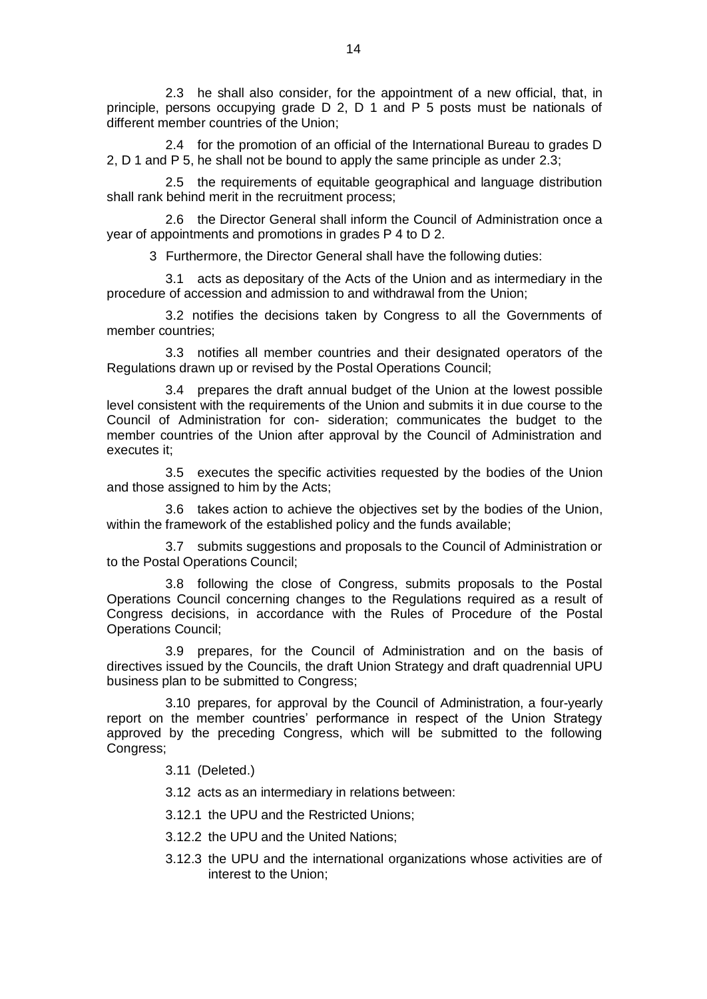2.3 he shall also consider, for the appointment of a new official, that, in principle, persons occupying grade D 2, D 1 and P 5 posts must be nationals of different member countries of the Union;

2.4 for the promotion of an official of the International Bureau to grades D 2, D 1 and P 5, he shall not be bound to apply the same principle as under 2.3;

2.5 the requirements of equitable geographical and language distribution shall rank behind merit in the recruitment process;

2.6 the Director General shall inform the Council of Administration once a year of appointments and promotions in grades P 4 to D 2.

3 Furthermore, the Director General shall have the following duties:

3.1 acts as depositary of the Acts of the Union and as intermediary in the procedure of accession and admission to and withdrawal from the Union;

3.2 notifies the decisions taken by Congress to all the Governments of member countries;

3.3 notifies all member countries and their designated operators of the Regulations drawn up or revised by the Postal Operations Council;

3.4 prepares the draft annual budget of the Union at the lowest possible level consistent with the requirements of the Union and submits it in due course to the Council of Administration for con- sideration; communicates the budget to the member countries of the Union after approval by the Council of Administration and executes it:

3.5 executes the specific activities requested by the bodies of the Union and those assigned to him by the Acts;

3.6 takes action to achieve the objectives set by the bodies of the Union, within the framework of the established policy and the funds available;

3.7 submits suggestions and proposals to the Council of Administration or to the Postal Operations Council;

3.8 following the close of Congress, submits proposals to the Postal Operations Council concerning changes to the Regulations required as a result of Congress decisions, in accordance with the Rules of Procedure of the Postal Operations Council;

3.9 prepares, for the Council of Administration and on the basis of directives issued by the Councils, the draft Union Strategy and draft quadrennial UPU business plan to be submitted to Congress;

3.10 prepares, for approval by the Council of Administration, a four-yearly report on the member countries' performance in respect of the Union Strategy approved by the preceding Congress, which will be submitted to the following Congress;

3.11 (Deleted.)

3.12 acts as an intermediary in relations between:

3.12.1 the UPU and the Restricted Unions;

- 3.12.2 the UPU and the United Nations;
- 3.12.3 the UPU and the international organizations whose activities are of interest to the Union;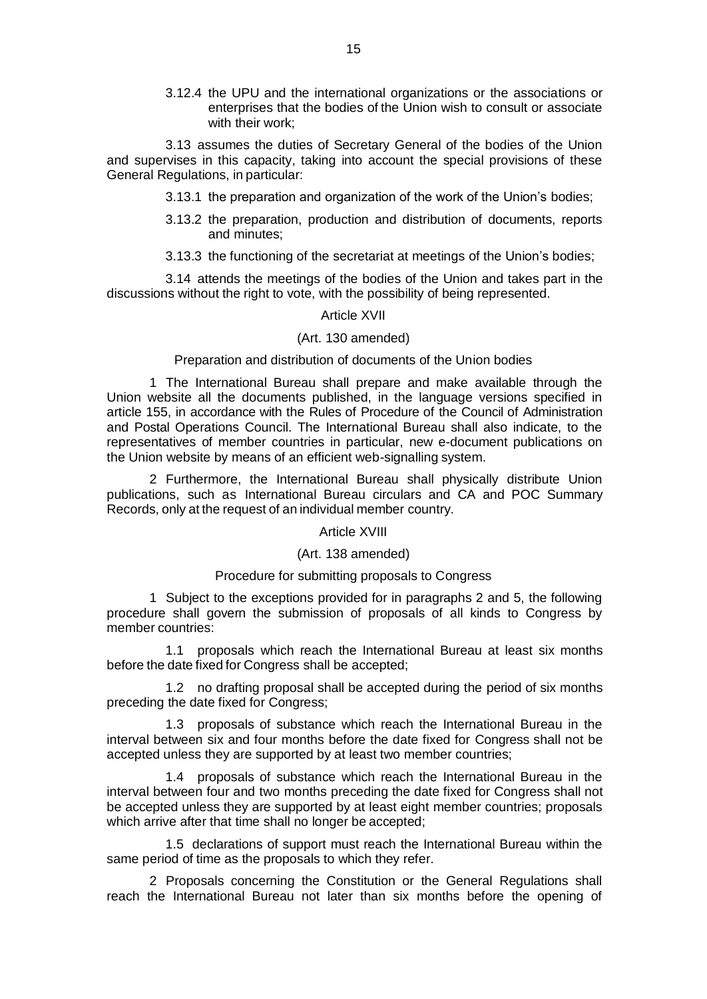3.12.4 the UPU and the international organizations or the associations or enterprises that the bodies of the Union wish to consult or associate with their work;

3.13 assumes the duties of Secretary General of the bodies of the Union and supervises in this capacity, taking into account the special provisions of these General Regulations, in particular:

- 3.13.1 the preparation and organization of the work of the Union's bodies;
- 3.13.2 the preparation, production and distribution of documents, reports and minutes;
- 3.13.3 the functioning of the secretariat at meetings of the Union's bodies;

3.14 attends the meetings of the bodies of the Union and takes part in the discussions without the right to vote, with the possibility of being represented.

#### Article XVII

#### (Art. 130 amended)

#### Preparation and distribution of documents of the Union bodies

1 The International Bureau shall prepare and make available through the Union website all the documents published, in the language versions specified in article 155, in accordance with the Rules of Procedure of the Council of Administration and Postal Operations Council. The International Bureau shall also indicate, to the representatives of member countries in particular, new e-document publications on the Union website by means of an efficient web-signalling system.

2 Furthermore, the International Bureau shall physically distribute Union publications, such as International Bureau circulars and CA and POC Summary Records, only at the request of an individual member country.

#### Article XVIII

## (Art. 138 amended)

#### Procedure for submitting proposals to Congress

1 Subject to the exceptions provided for in paragraphs 2 and 5, the following procedure shall govern the submission of proposals of all kinds to Congress by member countries:

1.1 proposals which reach the International Bureau at least six months before the date fixed for Congress shall be accepted;

1.2 no drafting proposal shall be accepted during the period of six months preceding the date fixed for Congress;

1.3 proposals of substance which reach the International Bureau in the interval between six and four months before the date fixed for Congress shall not be accepted unless they are supported by at least two member countries;

1.4 proposals of substance which reach the International Bureau in the interval between four and two months preceding the date fixed for Congress shall not be accepted unless they are supported by at least eight member countries; proposals which arrive after that time shall no longer be accepted;

1.5 declarations of support must reach the International Bureau within the same period of time as the proposals to which they refer.

2 Proposals concerning the Constitution or the General Regulations shall reach the International Bureau not later than six months before the opening of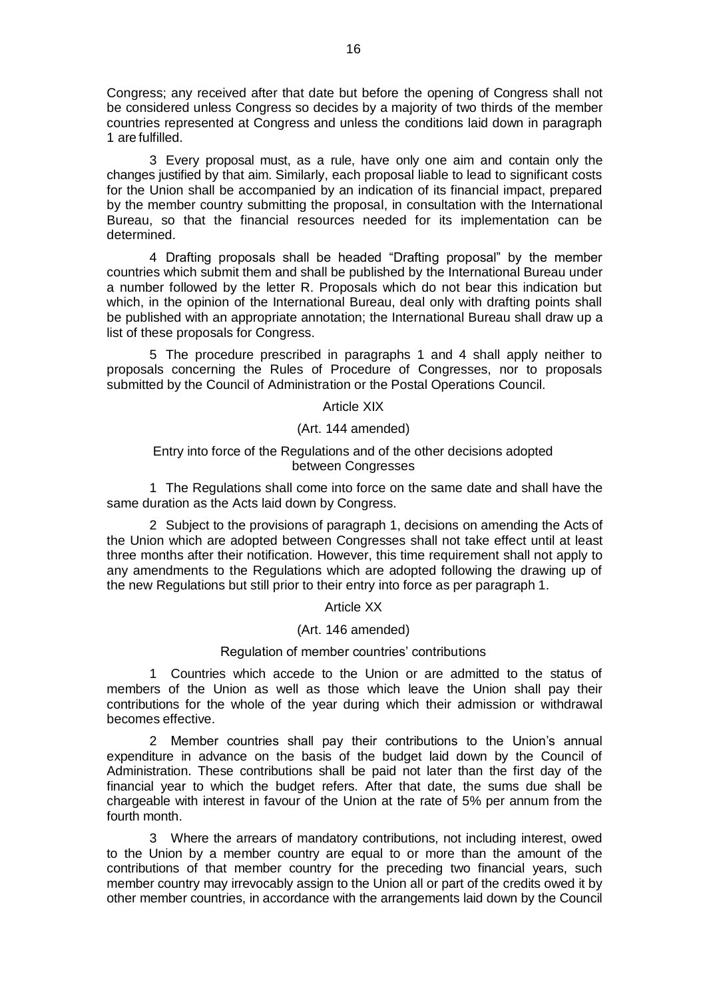Congress; any received after that date but before the opening of Congress shall not be considered unless Congress so decides by a majority of two thirds of the member countries represented at Congress and unless the conditions laid down in paragraph 1 are fulfilled.

3 Every proposal must, as a rule, have only one aim and contain only the changes justified by that aim. Similarly, each proposal liable to lead to significant costs for the Union shall be accompanied by an indication of its financial impact, prepared by the member country submitting the proposal, in consultation with the International Bureau, so that the financial resources needed for its implementation can be determined.

4 Drafting proposals shall be headed "Drafting proposal" by the member countries which submit them and shall be published by the International Bureau under a number followed by the letter R. Proposals which do not bear this indication but which, in the opinion of the International Bureau, deal only with drafting points shall be published with an appropriate annotation; the International Bureau shall draw up a list of these proposals for Congress.

5 The procedure prescribed in paragraphs 1 and 4 shall apply neither to proposals concerning the Rules of Procedure of Congresses, nor to proposals submitted by the Council of Administration or the Postal Operations Council.

Article XIX

(Art. 144 amended)

## Entry into force of the Regulations and of the other decisions adopted between Congresses

1 The Regulations shall come into force on the same date and shall have the same duration as the Acts laid down by Congress.

2 Subject to the provisions of paragraph 1, decisions on amending the Acts of the Union which are adopted between Congresses shall not take effect until at least three months after their notification. However, this time requirement shall not apply to any amendments to the Regulations which are adopted following the drawing up of the new Regulations but still prior to their entry into force as per paragraph 1.

## Article XX

## (Art. 146 amended)

#### Regulation of member countries' contributions

1 Countries which accede to the Union or are admitted to the status of members of the Union as well as those which leave the Union shall pay their contributions for the whole of the year during which their admission or withdrawal becomes effective.

2 Member countries shall pay their contributions to the Union's annual expenditure in advance on the basis of the budget laid down by the Council of Administration. These contributions shall be paid not later than the first day of the financial year to which the budget refers. After that date, the sums due shall be chargeable with interest in favour of the Union at the rate of 5% per annum from the fourth month.

3 Where the arrears of mandatory contributions, not including interest, owed to the Union by a member country are equal to or more than the amount of the contributions of that member country for the preceding two financial years, such member country may irrevocably assign to the Union all or part of the credits owed it by other member countries, in accordance with the arrangements laid down by the Council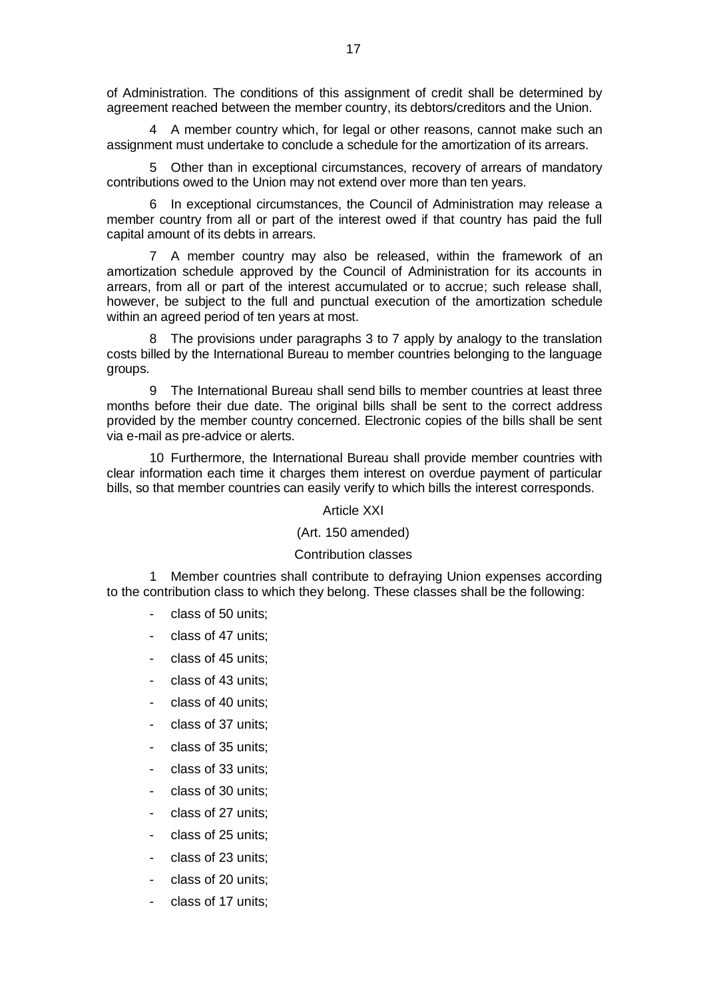of Administration. The conditions of this assignment of credit shall be determined by agreement reached between the member country, its debtors/creditors and the Union.

4 A member country which, for legal or other reasons, cannot make such an assignment must undertake to conclude a schedule for the amortization of its arrears.

5 Other than in exceptional circumstances, recovery of arrears of mandatory contributions owed to the Union may not extend over more than ten years.

6 In exceptional circumstances, the Council of Administration may release a member country from all or part of the interest owed if that country has paid the full capital amount of its debts in arrears.

7 A member country may also be released, within the framework of an amortization schedule approved by the Council of Administration for its accounts in arrears, from all or part of the interest accumulated or to accrue; such release shall, however, be subject to the full and punctual execution of the amortization schedule within an agreed period of ten years at most.

8 The provisions under paragraphs 3 to 7 apply by analogy to the translation costs billed by the International Bureau to member countries belonging to the language groups.

9 The International Bureau shall send bills to member countries at least three months before their due date. The original bills shall be sent to the correct address provided by the member country concerned. Electronic copies of the bills shall be sent via e-mail as pre-advice or alerts.

10 Furthermore, the International Bureau shall provide member countries with clear information each time it charges them interest on overdue payment of particular bills, so that member countries can easily verify to which bills the interest corresponds.

#### Article XXI

#### (Art. 150 amended)

## Contribution classes

Member countries shall contribute to defraying Union expenses according to the contribution class to which they belong. These classes shall be the following:

- class of 50 units;
- class of 47 units:
- class of 45 units:
- class of 43 units:
- class of 40 units:
- class of 37 units:
- class of 35 units:
- class of 33 units;
- class of 30 units;
- class of 27 units:
- class of 25 units;
- class of 23 units;
- class of 20 units:
- class of 17 units;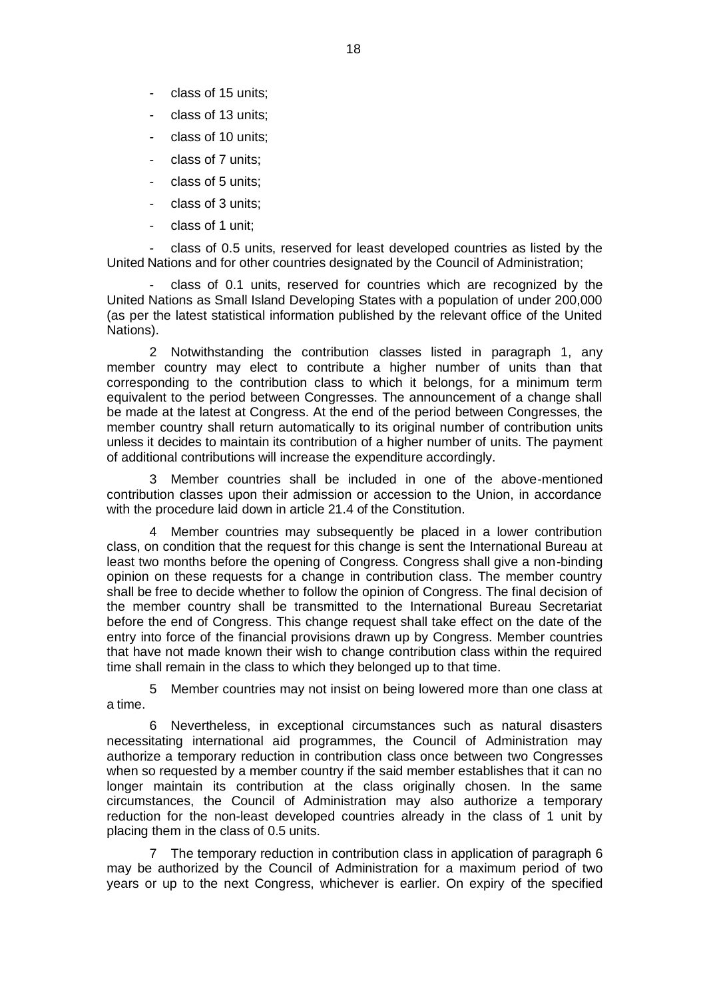- class of 15 units;
- class of 13 units;
- class of 10 units;
- class of 7 units;
- class of 5 units;
- class of 3 units;
- class of 1 unit;

- class of 0.5 units, reserved for least developed countries as listed by the United Nations and for other countries designated by the Council of Administration;

- class of 0.1 units, reserved for countries which are recognized by the United Nations as Small Island Developing States with a population of under 200,000 (as per the latest statistical information published by the relevant office of the United Nations).

2 Notwithstanding the contribution classes listed in paragraph 1, any member country may elect to contribute a higher number of units than that corresponding to the contribution class to which it belongs, for a minimum term equivalent to the period between Congresses. The announcement of a change shall be made at the latest at Congress. At the end of the period between Congresses, the member country shall return automatically to its original number of contribution units unless it decides to maintain its contribution of a higher number of units. The payment of additional contributions will increase the expenditure accordingly.

Member countries shall be included in one of the above-mentioned contribution classes upon their admission or accession to the Union, in accordance with the procedure laid down in article 21.4 of the Constitution.

Member countries may subsequently be placed in a lower contribution class, on condition that the request for this change is sent the International Bureau at least two months before the opening of Congress. Congress shall give a non-binding opinion on these requests for a change in contribution class. The member country shall be free to decide whether to follow the opinion of Congress. The final decision of the member country shall be transmitted to the International Bureau Secretariat before the end of Congress. This change request shall take effect on the date of the entry into force of the financial provisions drawn up by Congress. Member countries that have not made known their wish to change contribution class within the required time shall remain in the class to which they belonged up to that time.

5 Member countries may not insist on being lowered more than one class at a time.

6 Nevertheless, in exceptional circumstances such as natural disasters necessitating international aid programmes, the Council of Administration may authorize a temporary reduction in contribution class once between two Congresses when so requested by a member country if the said member establishes that it can no longer maintain its contribution at the class originally chosen. In the same circumstances, the Council of Administration may also authorize a temporary reduction for the non-least developed countries already in the class of 1 unit by placing them in the class of 0.5 units.

7 The temporary reduction in contribution class in application of paragraph 6 may be authorized by the Council of Administration for a maximum period of two years or up to the next Congress, whichever is earlier. On expiry of the specified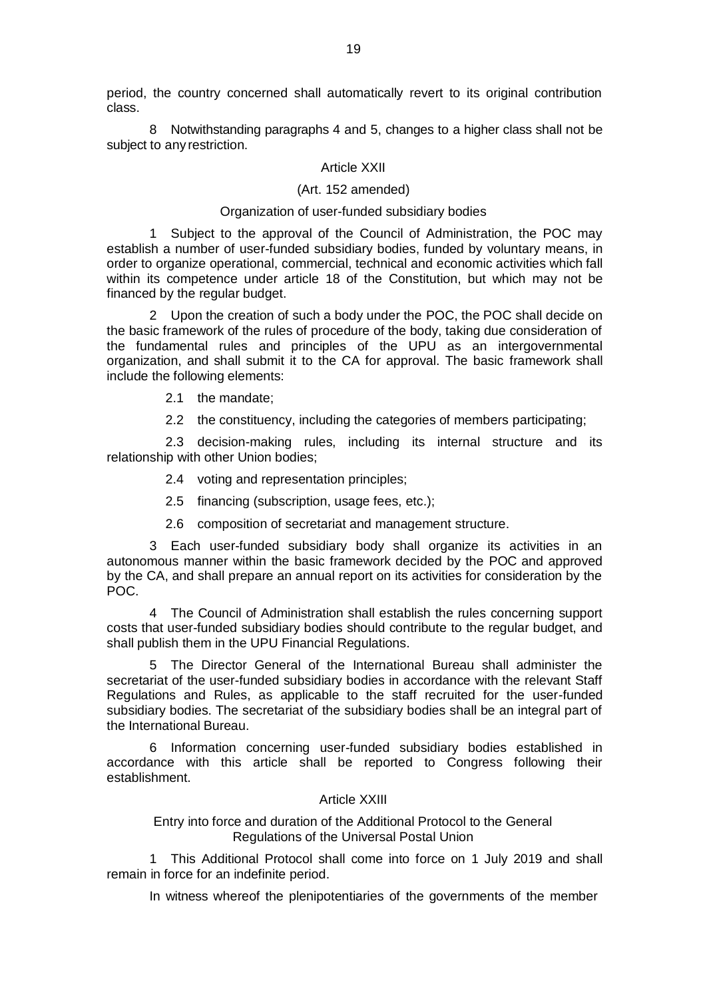period, the country concerned shall automatically revert to its original contribution class.

8 Notwithstanding paragraphs 4 and 5, changes to a higher class shall not be subject to any restriction.

## Article XXII

## (Art. 152 amended)

## Organization of user-funded subsidiary bodies

1 Subject to the approval of the Council of Administration, the POC may establish a number of user-funded subsidiary bodies, funded by voluntary means, in order to organize operational, commercial, technical and economic activities which fall within its competence under article 18 of the Constitution, but which may not be financed by the regular budget.

2 Upon the creation of such a body under the POC, the POC shall decide on the basic framework of the rules of procedure of the body, taking due consideration of the fundamental rules and principles of the UPU as an intergovernmental organization, and shall submit it to the CA for approval. The basic framework shall include the following elements:

2.1 the mandate;

2.2 the constituency, including the categories of members participating;

2.3 decision-making rules, including its internal structure and its relationship with other Union bodies;

2.4 voting and representation principles;

2.5 financing (subscription, usage fees, etc.);

2.6 composition of secretariat and management structure.

3 Each user-funded subsidiary body shall organize its activities in an autonomous manner within the basic framework decided by the POC and approved by the CA, and shall prepare an annual report on its activities for consideration by the POC.

4 The Council of Administration shall establish the rules concerning support costs that user-funded subsidiary bodies should contribute to the regular budget, and shall publish them in the UPU Financial Regulations.

5 The Director General of the International Bureau shall administer the secretariat of the user-funded subsidiary bodies in accordance with the relevant Staff Regulations and Rules, as applicable to the staff recruited for the user-funded subsidiary bodies. The secretariat of the subsidiary bodies shall be an integral part of the International Bureau.

6 Information concerning user-funded subsidiary bodies established in accordance with this article shall be reported to Congress following their establishment.

#### Article XXIII

Entry into force and duration of the Additional Protocol to the General Regulations of the Universal Postal Union

1 This Additional Protocol shall come into force on 1 July 2019 and shall remain in force for an indefinite period.

In witness whereof the plenipotentiaries of the governments of the member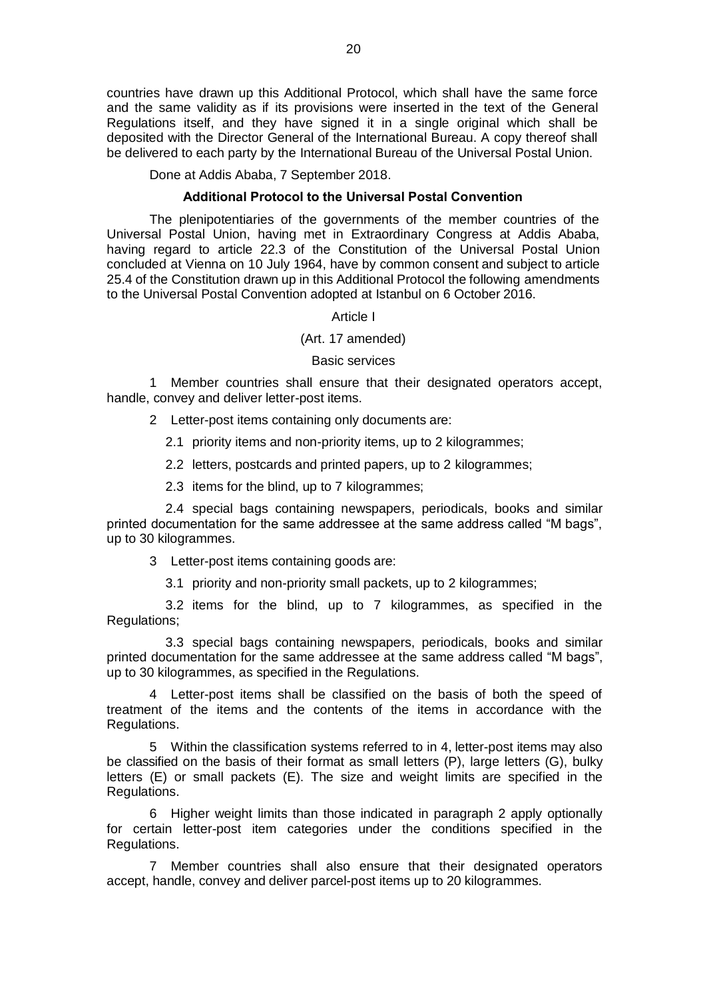countries have drawn up this Additional Protocol, which shall have the same force and the same validity as if its provisions were inserted in the text of the General Regulations itself, and they have signed it in a single original which shall be deposited with the Director General of the International Bureau. A copy thereof shall be delivered to each party by the International Bureau of the Universal Postal Union.

Done at Addis Ababa, 7 September 2018.

#### **Additional Protocol to the Universal Postal Convention**

The plenipotentiaries of the governments of the member countries of the Universal Postal Union, having met in Extraordinary Congress at Addis Ababa, having regard to article 22.3 of the Constitution of the Universal Postal Union concluded at Vienna on 10 July 1964, have by common consent and subject to article 25.4 of the Constitution drawn up in this Additional Protocol the following amendments to the Universal Postal Convention adopted at Istanbul on 6 October 2016.

Article I

#### (Art. 17 amended)

#### Basic services

Member countries shall ensure that their designated operators accept, handle, convey and deliver letter-post items.

2 Letter-post items containing only documents are:

2.1 priority items and non-priority items, up to 2 kilogrammes;

2.2 letters, postcards and printed papers, up to 2 kilogrammes;

2.3 items for the blind, up to 7 kilogrammes;

2.4 special bags containing newspapers, periodicals, books and similar printed documentation for the same addressee at the same address called "M bags", up to 30 kilogrammes.

3 Letter-post items containing goods are:

3.1 priority and non-priority small packets, up to 2 kilogrammes;

3.2 items for the blind, up to 7 kilogrammes, as specified in the Regulations;

3.3 special bags containing newspapers, periodicals, books and similar printed documentation for the same addressee at the same address called "M bags", up to 30 kilogrammes, as specified in the Regulations.

4 Letter-post items shall be classified on the basis of both the speed of treatment of the items and the contents of the items in accordance with the Regulations.

5 Within the classification systems referred to in 4, letter-post items may also be classified on the basis of their format as small letters (P), large letters (G), bulky letters (E) or small packets (E). The size and weight limits are specified in the Regulations.

6 Higher weight limits than those indicated in paragraph 2 apply optionally for certain letter-post item categories under the conditions specified in the Regulations.

7 Member countries shall also ensure that their designated operators accept, handle, convey and deliver parcel-post items up to 20 kilogrammes.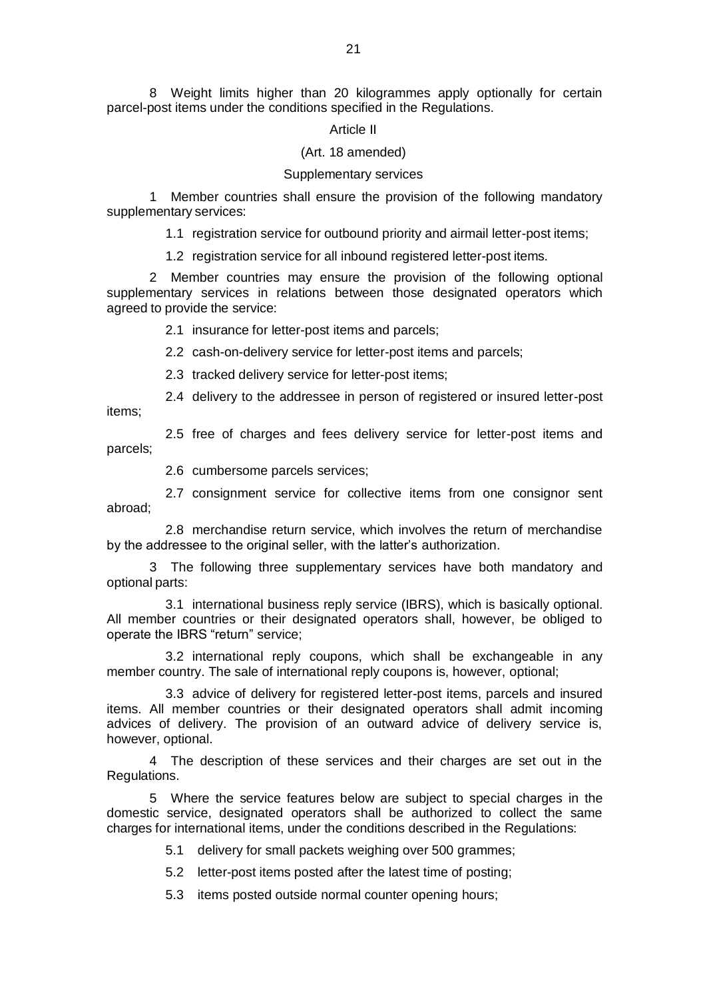8 Weight limits higher than 20 kilogrammes apply optionally for certain parcel-post items under the conditions specified in the Regulations.

## Article II

## (Art. 18 amended)

#### Supplementary services

1 Member countries shall ensure the provision of the following mandatory supplementary services:

1.1 registration service for outbound priority and airmail letter-post items;

1.2 registration service for all inbound registered letter-post items.

2 Member countries may ensure the provision of the following optional supplementary services in relations between those designated operators which agreed to provide the service:

2.1 insurance for letter-post items and parcels;

2.2 cash-on-delivery service for letter-post items and parcels;

2.3 tracked delivery service for letter-post items;

2.4 delivery to the addressee in person of registered or insured letter-post items;

2.5 free of charges and fees delivery service for letter-post items and parcels;

2.6 cumbersome parcels services;

2.7 consignment service for collective items from one consignor sent abroad;

2.8 merchandise return service, which involves the return of merchandise by the addressee to the original seller, with the latter's authorization.

3 The following three supplementary services have both mandatory and optional parts:

3.1 international business reply service (IBRS), which is basically optional. All member countries or their designated operators shall, however, be obliged to operate the IBRS "return" service;

3.2 international reply coupons, which shall be exchangeable in any member country. The sale of international reply coupons is, however, optional;

3.3 advice of delivery for registered letter-post items, parcels and insured items. All member countries or their designated operators shall admit incoming advices of delivery. The provision of an outward advice of delivery service is, however, optional.

4 The description of these services and their charges are set out in the Regulations.

5 Where the service features below are subject to special charges in the domestic service, designated operators shall be authorized to collect the same charges for international items, under the conditions described in the Regulations:

5.1 delivery for small packets weighing over 500 grammes;

5.2 letter-post items posted after the latest time of posting;

5.3 items posted outside normal counter opening hours;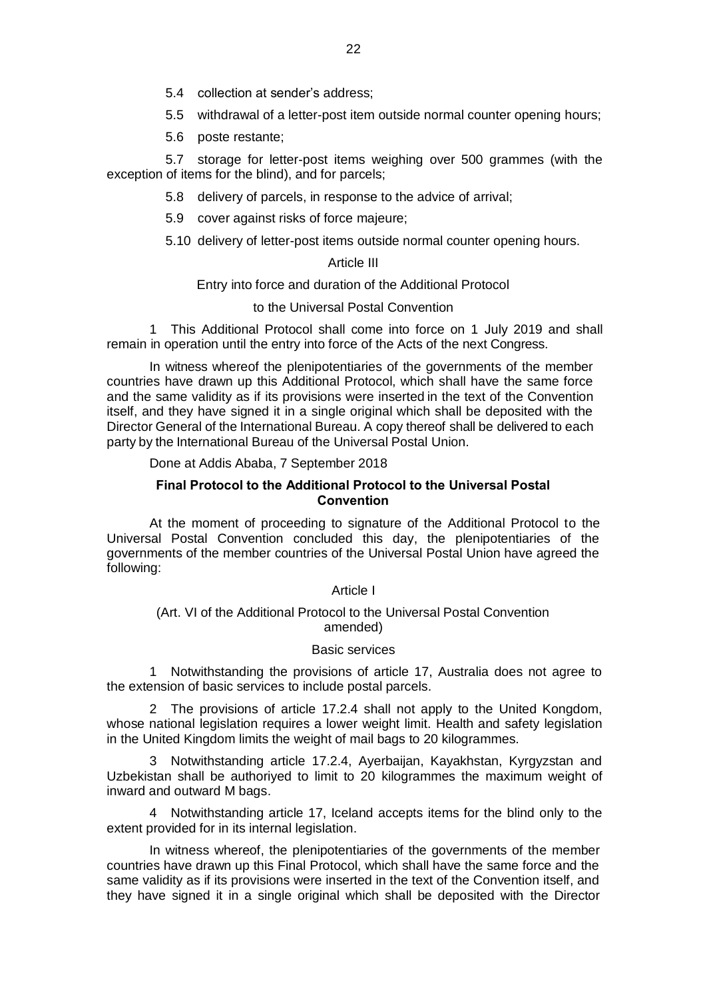- 5.4 collection at sender's address;
- 5.5 withdrawal of a letter-post item outside normal counter opening hours;
- 5.6 poste restante;

5.7 storage for letter-post items weighing over 500 grammes (with the exception of items for the blind), and for parcels;

5.8 delivery of parcels, in response to the advice of arrival;

- 5.9 cover against risks of force majeure;
- 5.10 delivery of letter-post items outside normal counter opening hours.

## Article III

Entry into force and duration of the Additional Protocol

## to the Universal Postal Convention

1 This Additional Protocol shall come into force on 1 Јuly 2019 and shall remain in operation until the entry into force of the Acts of the next Congress.

In witness whereof the plenipotentiaries of the governments of the member countries have drawn up this Additional Protocol, which shall have the same force and the same validity as if its provisions were inserted in the text of the Convention itself, and they have signed it in a single original which shall be deposited with the Director General of the International Bureau. A copy thereof shall be delivered to each party by the International Bureau of the Universal Postal Union.

Done at Addis Ababa, 7 September 2018

## **Final Protocol to the Additional Protocol to the Universal Postal Convention**

At the moment of proceeding to signature of the Additional Protocol to the Universal Postal Convention concluded this day, the plenipotentiaries of the governments of the member countries of the Universal Postal Union have agreed the following:

## Article I

## (Art. VI of the Additional Protocol to the Universal Postal Convention amended)

## Basic services

1 Notwithstanding the provisions of article 17, Australia does not agree to the extension of basic services to include postal parcels.

2 The provisions of article 17.2.4 shall not apply to the United Kongdom, whose national legislation requires a lower weight limit. Health and safety legislation in the United Kingdom limits the weight of mail bags to 20 kilogrammes.

3 Notwithstanding article 17.2.4, Ayerbaijan, Kayakhstan, Kyrgyzstan and Uzbekistan shall be authoriyed to limit to 20 kilogrammes the maximum weight of inward and outward M bags.

4 Notwithstanding article 17, Iceland accepts items for the blind only to the extent provided for in its internal legislation.

In witness whereof, the plenipotentiaries of the governments of the member countries have drawn up this Final Protocol, which shall have the same force and the same validity as if its provisions were inserted in the text of the Convention itself, and they have signed it in a single original which shall be deposited with the Director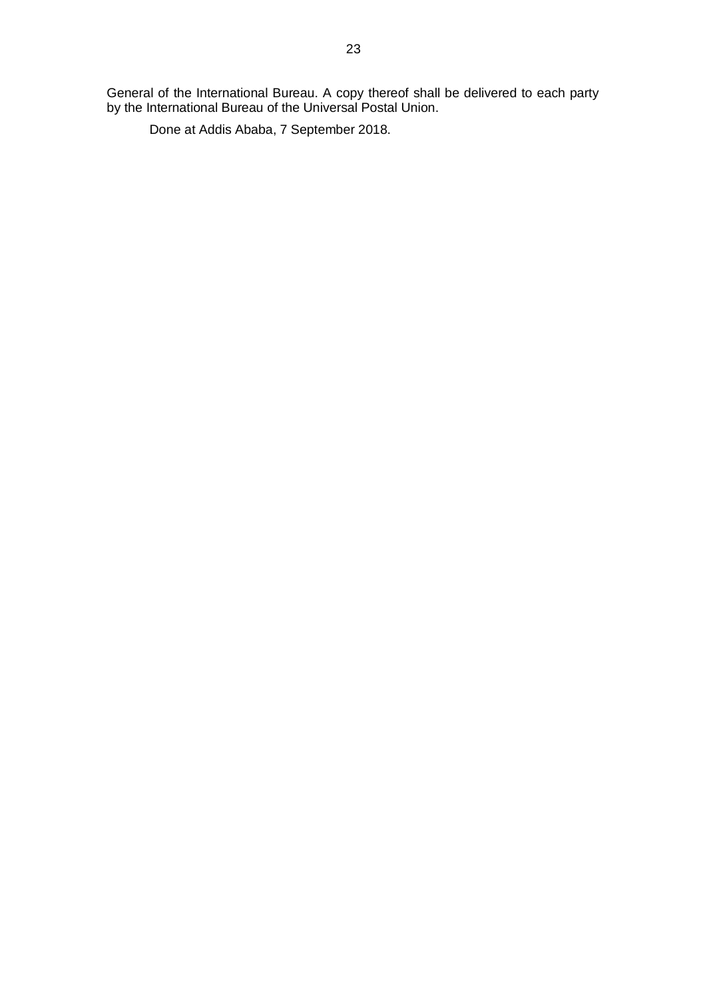General of the International Bureau. A copy thereof shall be delivered to each party by the International Bureau of the Universal Postal Union.

Done at Addis Ababa, 7 September 2018.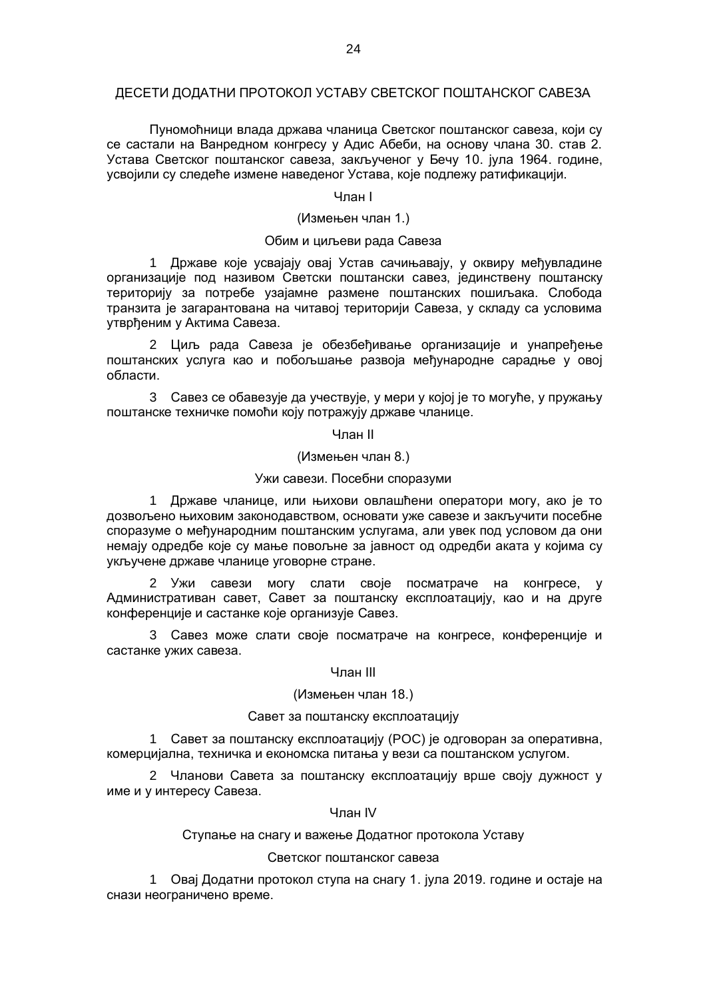## ДЕСЕТИ ДОДАТНИ ПРОТОКОЛ УСТАВУ СВЕТСКОГ ПОШТАНСКОГ САВЕЗА

Пуномоћници влада држава чланица Светског поштанског савеза, који су се састали на Ванредном конгресу у Адис Абеби, на основу члана 30. став 2. Устава Светског поштанског савеза, закљученог у Бечу 10. јула 1964. године, усвојили су следеће измене наведеног Устава, које подлежу ратификацији.

## Члан I

## (Измењен члан 1.)

## Обим и циљеви рада Савеза

1 Државе које усвајају овај Устав сачињавају, у оквиру међувладине организације под називом Светски поштански савез, јединствену поштанску територију за потребе узајамне размене поштанских пошиљака. Слобода транзита је загарантована на читавој територији Савеза, у складу са условима утврђеним у Актима Савеза.

2 Циљ рада Савеза је обезбеђивање организације и унапређење поштанских услуга као и побољшање развоја међународне сарадње у овој области.

3 Савез се обавезује да учествује, у мери у којој је то могуће, у пружању поштанске техничке помоћи коју потражују државе чланице.

Члан II

#### (Измењен члан 8.)

#### Ужи савези. Посебни споразуми

1 Државе чланице, или њихови овлашћени оператори могу, ако је то дозвољено њиховим законодавством, основати уже савезе и закључити посебне споразуме о међународним поштанским услугама, али увек под условом да они немају одредбе које су мање повољне за јавност од одредби аката у којима су укључене државе чланице уговорне стране.

2 Ужи савези могу слати своје посматраче на конгресе, у Административан савет, Савет за поштанску експлоатацију, као и на друге конференције и састанке које организује Савез.

3 Савез може слати своје посматраче на конгресе, конференције и састанке ужих савеза.

#### Члан III

## (Измењен члан 18.)

#### Савет за поштанску експлоатацију

1 Савет за поштанску експлоатацију (POC) је одговоран за оперативна, комерцијална, техничка и економска питања у вези са поштанском услугом.

2 Чланови Савета за поштанску експлоатацију врше своју дужност у име и у интересу Савеза.

#### Члан IV

## Ступање на снагу и важење Додатног протокола Уставу

## Светског поштанског савеза

1 Овај Додатни протокол ступа на снагу 1. јула 2019. године и остаје на снази неограничено време.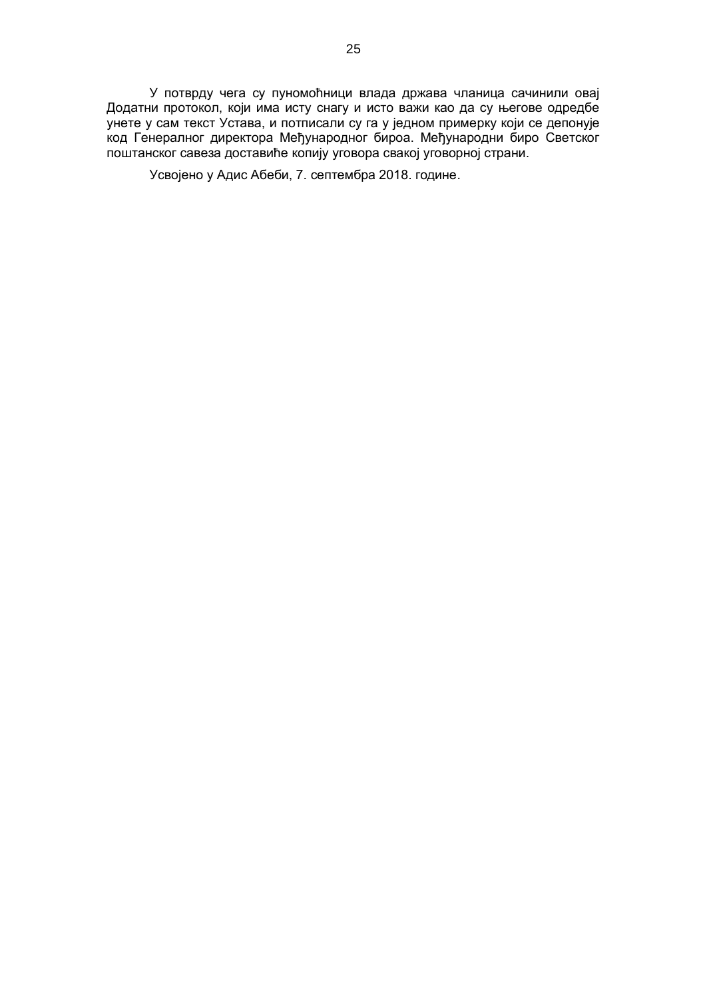У потврду чега су пуномоћници влада држава чланица сачинили овај Додатни протокол, који има исту снагу и исто важи као да су његове одредбе унете у сам текст Устава, и потписали су га у једном примерку који се депонује код Генералног директора Међународног бироа. Међународни биро Светског поштанског савеза доставиће копију уговора свакој уговорној страни.

Усвојено у Адис Абеби, 7. септембра 2018. године.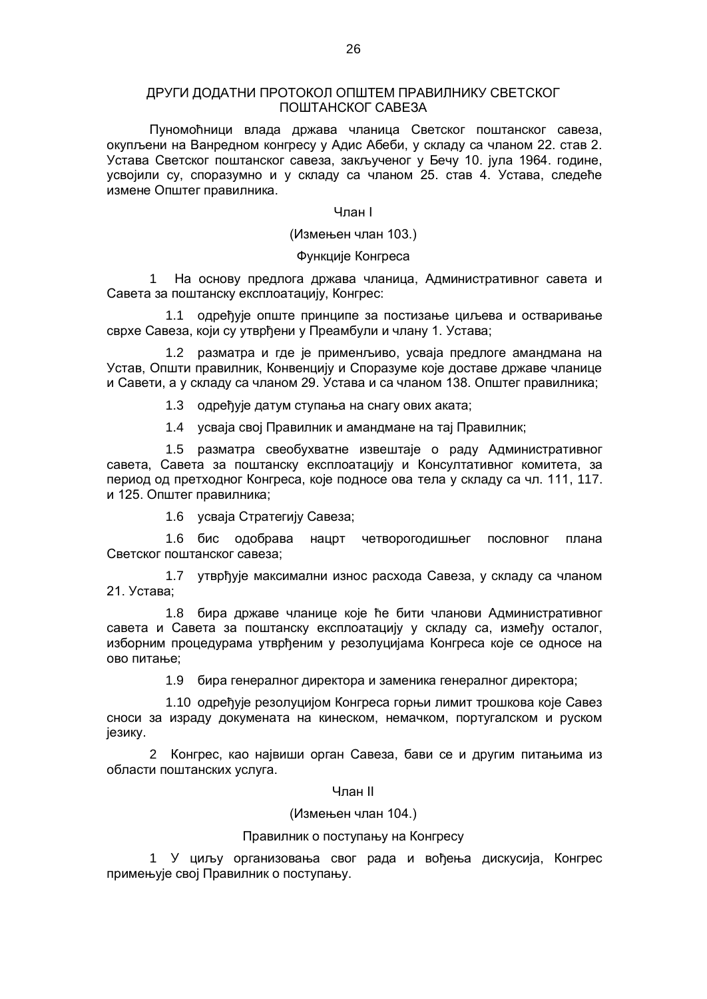## ДРУГИ ДОДАТНИ ПРОТОКОЛ ОПШТЕМ ПРАВИЛНИКУ СВЕТСКОГ ПОШТАНСКОГ САВЕЗА

Пуномоћници влада држава чланица Светског поштанског савеза, окупљени на Ванредном конгресу у Адис Абеби, у складу са чланом 22. став 2. Устава Светског поштанског савеза, закљученог у Бечу 10. јула 1964. године, усвојили су, споразумно и у складу са чланом 25. став 4. Устава, следеће измене Општег правилника.

#### Члан I

(Измењен члан 103.)

## Функције Конгреса

1 На основу предлога држава чланица, Административног савета и Савета за поштанску експлоатацију, Конгрес:

1.1 одређује опште принципе за постизање циљева и остваривање сврхе Савеза, који су утврђени у Преамбули и члану 1. Устава;

1.2 разматра и где је применљиво, усваја предлоге амандмана на Устав, Општи правилник, Конвенцију и Споразуме које доставе државе чланице и Савети, а у складу са чланом 29. Устава и са чланом 138. Општег правилника;

1.3 одређује датум ступања на снагу ових аката;

1.4 усваја свој Правилник и амандмане на тај Правилник;

1.5 разматра свеобухватне извештаје о раду Административног савета, Савета за поштанску експлоатацију и Консултативног комитета, за период од претходног Конгреса, које подносе ова тела у складу са чл. 111, 117. и 125. Општег правилника;

1.6 усваја Стратегију Савеза;

1.6 бис одобрава нацрт четворогодишњег пословног плана Светског поштанског савеза;

1.7 утврђује максимални износ расхода Савеза, у складу са чланом 21. Устава;

1.8 бира државе чланице које ће бити чланови Административног савета и Савета за поштанску експлоатацију у складу са, између осталог, изборним процедурама утврђеним у резолуцијама Конгреса које се односе на ово питање;

1.9 бира генералног директора и заменика генералног директора;

1.10 одређује резолуцијом Конгреса горњи лимит трошкова које Савез сноси за израду докумената на кинеском, немачком, португалском и руском језику.

2 Конгрес, као највиши орган Савеза, бави се и другим питањима из области поштанских услуга.

#### Члан II

(Измењен члан 104.)

#### Правилник о поступању на Конгресу

1 У циљу организовања свог рада и вођења дискусија, Конгрес примењује свој Правилник о поступању.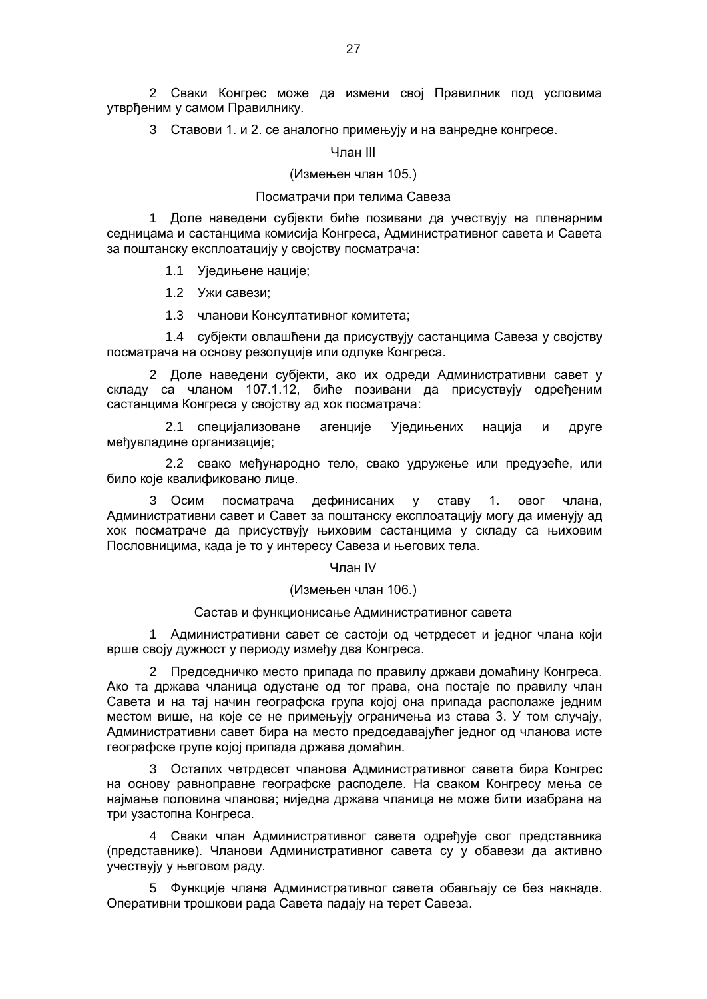2 Сваки Конгрес може да измени свој Правилник под условима утврђеним у самом Правилнику.

3 Ставови 1. и 2. се аналогно примењују и на ванредне конгресе.

Члан III

#### (Измењен члан 105.)

#### Посматрачи при телима Савеза

1 Доле наведени субјекти биће позивани да учествују на пленарним седницама и састанцима комисија Конгреса, Административног савета и Савета за поштанску експлоатацију у својству посматрача:

1.1 Уједињене нације;

1.2 Ужи савези;

1.3 чланови Консултативног комитета;

1.4 субјекти овлашћени да присуствују састанцима Савеза у својству посматрача на основу резолуције или одлуке Конгреса.

2 Доле наведени субјекти, ако их одреди Административни савет у складу са чланом 107.1.12, биће позивани да присуствују одређеним састанцима Конгреса у својству ад хок посматрача:

2.1 специјализоване агенције Уједињених нација и друге међувладине организације;

2.2 свако међународно тело, свако удружење или предузеће, или било које квалификовано лице.

3 Осим посматрача дефинисаних у ставу 1. овог члана, Административни савет и Савет за поштанску експлоатацију могу да именују ад хок посматраче да присуствују њиховим састанцима у складу са њиховим Пословницима, када је то у интересу Савеза и његових тела.

#### Члан IV

#### (Измењен члан 106.)

#### Састав и функционисање Административног савета

1 Административни савет се састоји од четрдесет и једног члана који врше своју дужност у периоду између два Конгреса.

2 Председничко место припада по правилу држави домаћину Конгреса. Ако та држава чланица одустане од тог права, она постаје по правилу члан Савета и на тај начин географска група којој она припада располаже једним местом више, на које се не примењују ограничења из става 3. У том случају, Административни савет бира на место председавајућег једног од чланова исте географске групе којој припада држава домаћин.

3 Осталих четрдесет чланова Административног савета бира Конгрес на основу равноправне географске расподеле. На сваком Конгресу мења се најмање половина чланова; ниједна држава чланица не може бити изабрана на три узастопна Конгреса.

4 Сваки члан Административног савета одређује свог представника (представнике). Чланови Административног савета су у обавези да активно учествују у његовом раду.

5 Функције члана Административног савета обављају се без накнаде. Оперативни трошкови рада Савета падају на терет Савеза.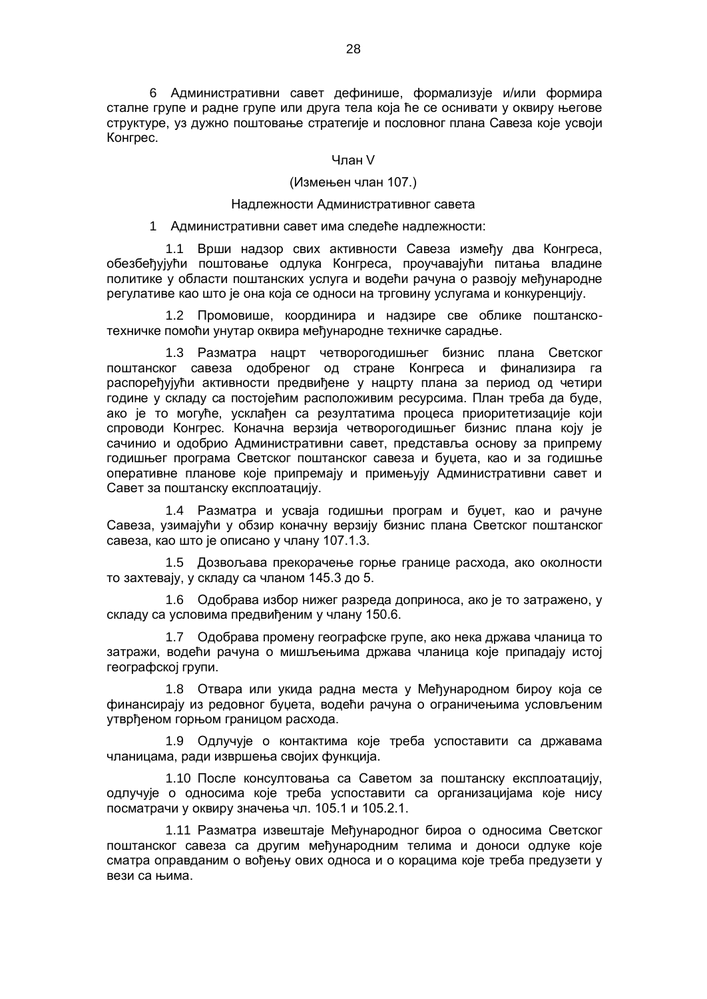6 Административни савет дефинише, формализује и/или формира сталне групе и радне групе или друга тела која ће се оснивати у оквиру његове структуре, уз дужно поштовање стратегије и пословног плана Савеза које усвоји Конгрес.

#### Члан V

## (Измењен члан 107.)

#### Надлежности Административног савета

#### 1 Административни савет има следеће надлежности:

1.1 Врши надзор свих активности Савеза између два Конгреса, обезбеђујући поштовање одлука Конгреса, проучавајући питања владине политике у области поштанских услуга и водећи рачуна о развоју међународне регулативе као што је она која се односи на трговину услугама и конкуренцију.

1.2 Промовише, координира и надзире све облике поштанскотехничке помоћи унутар оквира међународне техничке сарадње.

1.3 Разматра нацрт четворогодишњег бизнис плана Светског поштанског савеза одобреног од стране Конгреса и финализира га распоређујући активности предвиђене у нацрту плана за период од четири године у складу са постојећим расположивим ресурсима. План треба да буде, ако је то могуће, усклађен са резултатима процеса приоритетизације који спроводи Конгрес. Коначна верзија четворогодишњег бизнис плана коју је сачинио и одобрио Административни савет, представља основу за припрему годишњег програма Светског поштанског савеза и буџета, као и за годишње оперативне планове које припремају и примењују Административни савет и Савет за поштанску експлоатацију.

1.4 Разматра и усваја годишњи програм и буџет, као и рачуне Савеза, узимајући у обзир коначну верзију бизнис плана Светског поштанског савеза, као што је описано у члану 107.1.3.

1.5 Дозвољава прекорачење горње границе расхода, ако околности то захтевају, у складу са чланом 145.3 до 5.

1.6 Одобрава избор нижег разреда доприноса, ако је то затражено, у складу са условима предвиђеним у члану 150.6.

1.7 Одобрава промену географске групе, ако нека држава чланица то затражи, водећи рачуна о мишљењима држава чланица које припадају истој географској групи.

1.8 Отвара или укида радна места у Међународном бироу која се финансирају из редовног буџета, водећи рачуна о ограничењима условљеним утврђеном горњом границом расхода.

1.9 Одлучује о контактима које треба успоставити са државама чланицама, ради извршења својих функција.

1.10 После консултовања са Саветом за поштанску експлоатацију, одлучује о односима које треба успоставити са организацијама које нису посматрачи у оквиру значења чл. 105.1 и 105.2.1.

1.11 Разматра извештаје Међународног бироа о односима Светског поштанског савеза са другим међународним телима и доноси одлуке које сматра оправданим о вођењу ових односа и о корацима које треба предузети у вези са њима.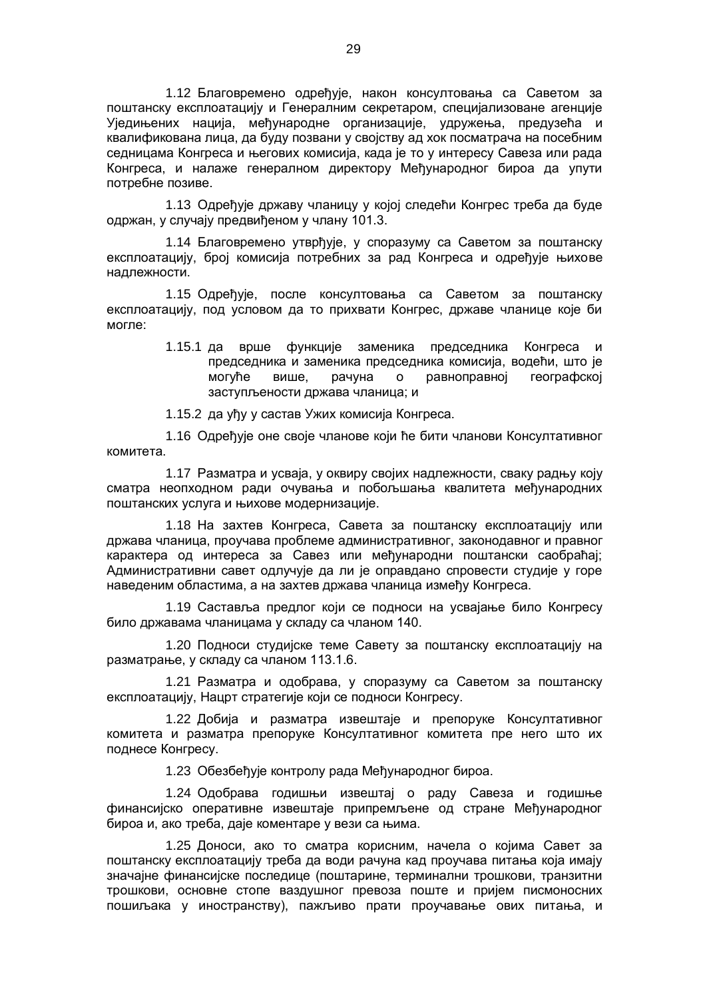1.12 Благовремено одређује, након консултовања са Саветом за поштанску експлоатацију и Генералним секретаром, специјализоване агенције Уједињених нација, међународне организације, удружења, предузећа и квалификована лица, да буду позвани у својству ад хок посматрача на посебним седницама Конгреса и његових комисија, када је то у интересу Савеза или рада Конгреса, и налаже генералном директору Међународног бироа да упути потребне позиве.

1.13 Одређује државу чланицу у којој следећи Конгрес треба да буде одржан, у случају предвиђеном у члану 101.3.

1.14 Благовремено утврђује, у споразуму са Саветом за поштанску експлоатацију, број комисија потребних за рад Конгреса и одређује њихове надлежности.

1.15 Одређује, после консултовања са Саветом за поштанску експлоатацију, под условом да то прихвати Конгрес, државе чланице које би могле:

> 1.15.1 да врше функције заменика председника Конгреса и председника и заменика председника комисија, водећи, што је могуће више, рачуна о равноправној географској заступљености држава чланица; и

1.15.2 да уђу у састав Ужих комисија Конгреса.

1.16 Одређује оне своје чланове који ће бити чланови Консултативног комитета.

1.17 Разматра и усваја, у оквиру својих надлежности, сваку радњу коју сматра неопходном ради очувања и побољшања квалитета међународних поштанских услуга и њихове модернизације.

1.18 На захтев Конгреса, Савета за поштанску експлоатацију или држава чланица, проучава проблеме административног, законодавног и правног карактера од интереса за Савез или међународни поштански саобраћај; Административни савет одлучује да ли је оправдано спровести студије у горе наведеним областима, а на захтев држава чланица између Конгреса.

1.19 Саставља предлог који се подноси на усвајање било Конгресу било државама чланицама у складу са чланом 140.

1.20 Подноси студијске теме Савету за поштанску експлоатацију на разматрање, у складу са чланом 113.1.6.

1.21 Разматра и одобрава, у споразуму са Саветом за поштанску експлоатацију, Нацрт стратегије који се подноси Конгресу.

1.22 Добија и разматра извештаје и препоруке Консултативног комитета и разматра препоруке Консултативног комитета пре него што их поднесе Конгресу.

1.23 Обезбеђује контролу рада Међународног бироа.

1.24 Одобрава годишњи извештај о раду Савеза и годишње финансијско оперативне извештаје припремљене од стране Међународног бироа и, ако треба, даје коментаре у вези са њима.

1.25 Доноси, ако то сматра корисним, начела о којима Савет за поштанску експлоатацију треба да води рачуна кад проучава питања која имају значајне финансијске последице (поштарине, терминални трошкови, транзитни трошкови, основне стопе ваздушног превоза поште и пријем писмоносних пошиљака у иностранству), пажљиво прати проучавање ових питања, и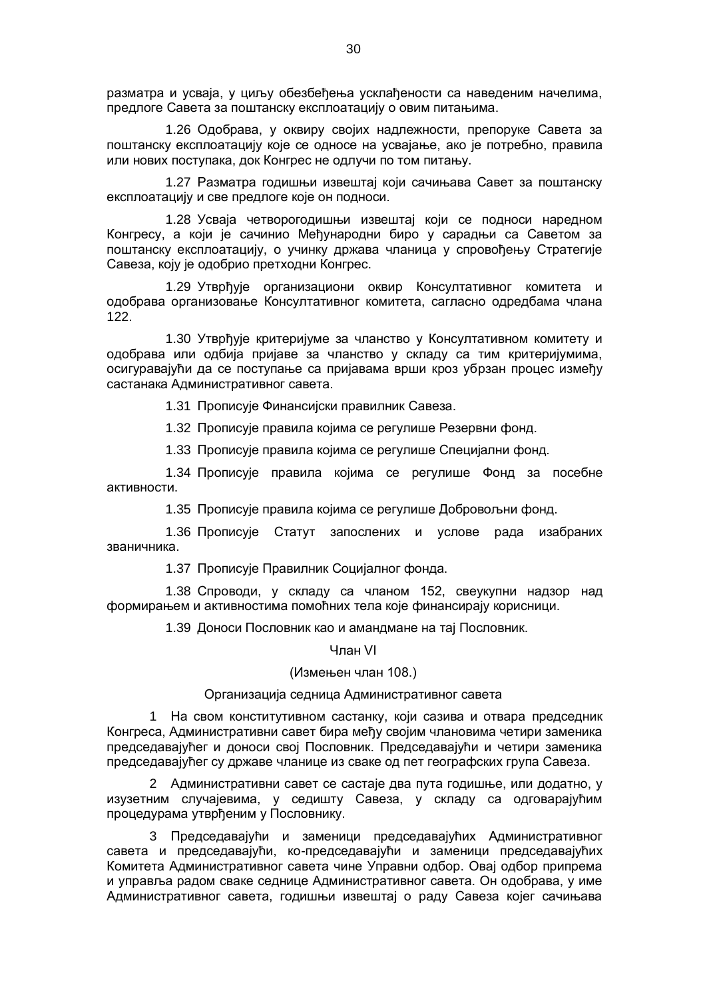разматра и усваја, у циљу обезбеђења усклађености са наведеним начелима, предлоге Савета за поштанску експлоатацију о овим питањима.

1.26 Одобрава, у оквиру својих надлежности, препоруке Савета за поштанску експлоатацију које се односе на усвајање, ако је потребно, правила или нових поступака, док Конгрес не одлучи по том питању.

1.27 Разматра годишњи извештај који сачињава Савет за поштанску експлоатацију и све предлоге које он подноси.

1.28 Усваја четворогодишњи извештај који се подноси наредном Конгресу, а који је сачинио Међународни биро у сарадњи са Саветом за поштанску експлоатацију, о учинку држава чланица у спровођењу Стратегије Савеза, коју је одобрио претходни Конгрес.

1.29 Утврђује организациони оквир Консултативног комитета и одобрава организовање Консултативног комитета, сагласно одредбама члана 122.

1.30 Утврђује критеријуме за чланство у Консултативном комитету и одобрава или одбија пријаве за чланство у складу са тим критеријумима, осигуравајући да се поступање са пријавама врши кроз убрзан процес између састанака Административног савета.

1.31 Прописује Финансијски правилник Савеза.

1.32 Прописује правила којима се регулише Резервни фонд.

1.33 Прописује правила којима се регулише Специјални фонд.

1.34 Прописује правила којима се регулише Фонд за посебне активности.

1.35 Прописује правила којима се регулише Добровољни фонд.

1.36 Прописује Статут запослених и услове рада изабраних званичника.

1.37 Прописује Правилник Социјалног фонда.

1.38 Спроводи, у складу са чланом 152, свеукупни надзор над формирањем и активностима помоћних тела које финансирају корисници.

1.39 Доноси Пословник као и амандмане на тај Пословник.

Члан VI

#### (Измењен члан 108.)

## Организација седница Административног савета

1 На свом конститутивном састанку, који сазива и отвара председник Конгреса, Административни савет бира међу својим члановима четири заменика председавајућег и доноси свој Пословник. Председавајући и четири заменика председавајућег су државе чланице из сваке од пет географских група Савеза.

2 Административни савет се састаје два пута годишње, или додатно, у изузетним случајевима, у седишту Савеза, у складу са одговарајућим процедурама утврђеним у Пословнику.

3 Председавајући и заменици председавајућих Административног савета и председавајући, ко-председавајући и заменици председавајућих Комитета Административног савета чине Управни одбор. Овај одбор припрема и управља радом сваке седнице Административног савета. Он одобрава, у име Административног савета, годишњи извештај о раду Савеза којег сачињава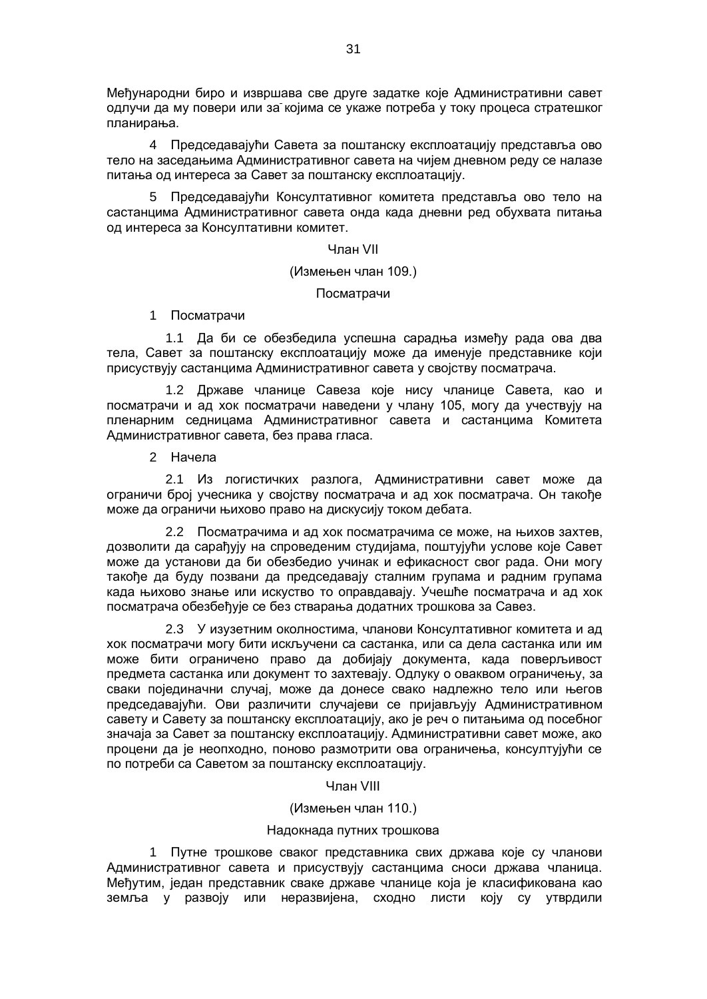Међународни биро и извршава све друге задатке које Административни савет одлучи да му повери или за којима се укаже потреба у току процеса стратешког планирања.

4 Председавајући Савета за поштанску експлоатацију представља ово тело на заседањима Административног савета на чијем дневном реду се налазе питања од интереса за Савет за поштанску експлоатацију.

5 Председавајући Консултативног комитета представља ово тело на састанцима Административног савета онда када дневни ред обухвата питања од интереса за Консултативни комитет.

#### Члан VII

## (Измењен члан 109.)

Посматрачи

1 Посматрачи

1.1 Да би се обезбедила успешна сарадња између рада ова два тела, Савет за поштанску експлоатацију може да именује представнике који присуствују састанцима Административног савета у својству посматрача.

1.2 Државе чланице Савеза које нису чланице Савета, као и посматрачи и ад хок посматрачи наведени у члану 105, могу да учествују на пленарним седницама Административног савета и састанцима Комитета Административног савета, без права гласа.

2 Начела

2.1 Из логистичких разлога, Административни савет може да ограничи број учесника у својству посматрача и ад хок посматрача. Он такође може да ограничи њихово право на дискусију током дебата.

2.2 Посматрачима и ад хок посматрачима се може, на њихов захтев, дозволити да сарађују на спроведеним студијама, поштујући услове које Савет може да установи да би обезбедио учинак и ефикасност свог рада. Они могу такође да буду позвани да председавају сталним групама и радним групама када њихово знање или искуство то оправдавају. Учешће посматрача и ад хок посматрача обезбеђује се без стварања додатних трошкова за Савез.

2.3 У изузетним околностима, чланови Консултативног комитета и ад хок посматрачи могу бити искључени са састанка, или са дела састанка или им може бити ограничено право да добијају документа, када поверљивост предмета састанка или документ то захтевају. Одлуку о оваквом ограничењу, за сваки појединачни случај, може да донесе свако надлежно тело или његов председавајући. Ови различити случајеви се пријављују Административном савету и Савету за поштанску експлоатацију, ако је реч о питањима од посебног значаја за Савет за поштанску експлоатацију. Административни савет може, ако процени да је неопходно, поново размотрити ова ограничења, консултујући се по потреби са Саветом за поштанску експлоатацију.

Члан VIII

(Измењен члан 110.)

#### Надокнада путних трошкова

1 Путне трошкове сваког представника свих држава које су чланови Административног савета и присуствују састанцима сноси држава чланица. Међутим, један представник сваке државе чланице која је класификована као земља у развоју или неразвијена, сходно листи коју су утврдили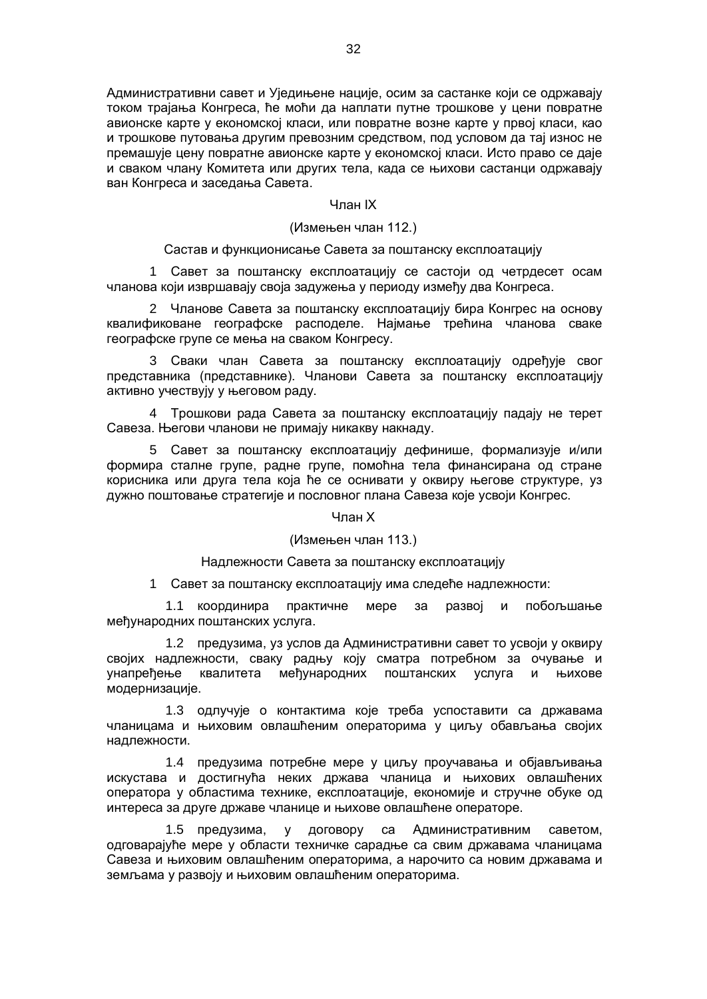Административни савет и Уједињене нације, осим за састанке који се одржавају током трајања Конгреса, ће моћи да наплати путне трошкове у цени повратне авионске карте у економској класи, или повратне возне карте у првој класи, као и трошкове путовања другим превозним средством, под условом да тај износ не премашује цену повратне авионске карте у економској класи. Исто право се даје и сваком члану Комитета или других тела, када се њихови састанци одржавају ван Конгреса и заседања Савета.

#### Члан IX

## (Измењен члан 112.)

#### Састав и функционисање Савета за поштанску експлоатацију

1 Савет за поштанску експлоатацију се састоји од четрдесет осам чланова који извршавају своја задужења у периоду између два Конгреса.

2 Чланове Савета за поштанску експлоатацију бира Конгрес на основу квалификоване географске расподеле. Најмање трећина чланова сваке географске групе се мења на сваком Конгресу.

3 Сваки члан Савета за поштанску експлоатацију одређује свог представника (представнике). Чланови Савета за поштанску експлоатацију активно учествују у његовом раду.

4 Трошкови рада Савета за поштанску експлоатацију падају не терет Савеза. Његови чланови не примају никакву накнаду.

5 Савет за поштанску експлоатацију дефинише, формализује и/или формира сталне групе, радне групе, помоћна тела финансирана од стране корисника или друга тела која ће се оснивати у оквиру његове структуре, уз дужно поштовање стратегије и пословног плана Савеза које усвоји Конгрес.

#### Члан X

#### (Измењен члан 113.)

## Надлежности Савета за поштанску експлоатацију

1 Савет за поштанску експлоатацију има следеће надлежности:

1.1 координира практичне мере за развој и побољшање међународних поштанских услуга.

1.2 предузима, уз услов да Административни савет то усвоји у оквиру својих надлежности, сваку радњу коју сматра потребном за очување и унапређење квалитета међународних поштанских услуга и њихове модернизације.

1.3 одлучује о контактима које треба успоставити са државама чланицама и њиховим овлашћеним операторима у циљу обављања својих надлежности.

1.4 предузима потребне мере у циљу проучавања и објављивања искустава и достигнућа неких држава чланица и њихових овлашћених оператора у областима технике, експлоатације, економије и стручне обуке од интереса за друге државе чланице и њихове овлашћене операторе.

1.5 предузима, у договору са Административним саветом, одговарајуће мере у области техничке сарадње са свим државама чланицама Савеза и њиховим овлашћеним операторима, а нарочито са новим државама и земљама у развоју и њиховим овлашћеним операторима.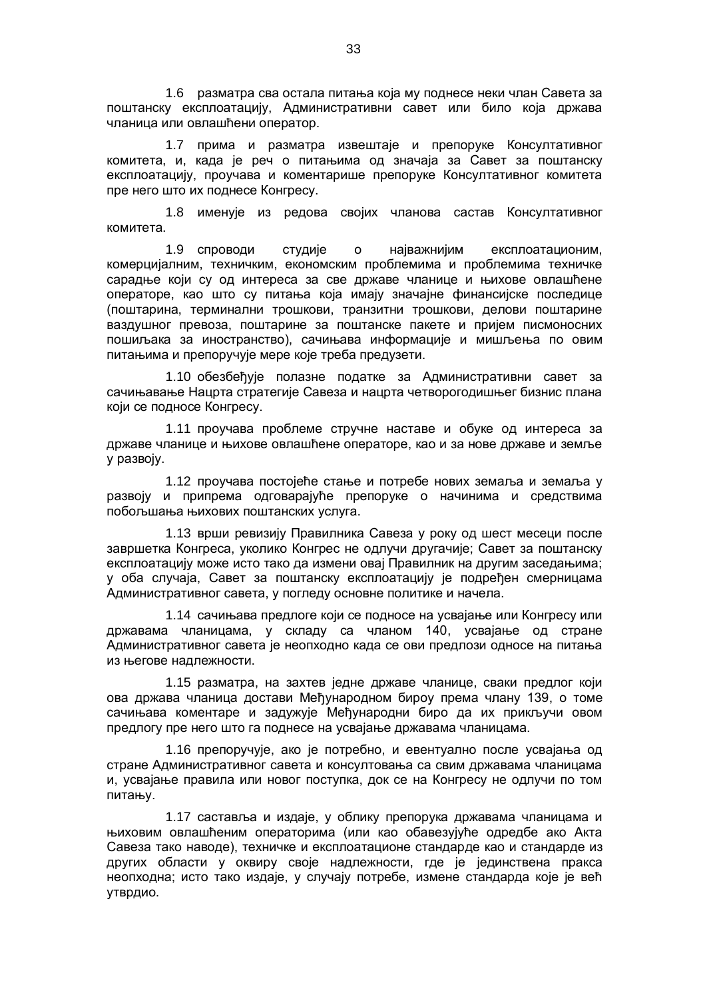1.6 разматра сва остала питања која му поднесе неки члан Савета за поштанску експлоатацију, Административни савет или било која држава чланица или овлашћени оператор.

1.7 прима и разматра извештаје и препоруке Консултативног комитета, и, када је реч о питањима од значаја за Савет за поштанску експлоатацију, проучава и коментарише препоруке Консултативног комитета пре него што их поднесе Конгресу.

1.8 именује из редова својих чланова састав Консултативног комитета.

1.9 спроводи студије о најважнијим експлоатационим, комерцијалним, техничким, економским проблемима и проблемима техничке сарадње који су од интереса за све државе чланице и њихове овлашћене операторе, као што су питања која имају значајне финансијске последице (поштарина, терминални трошкови, транзитни трошкови, делови поштарине ваздушног превоза, поштарине за поштанске пакете и пријем писмоносних пошиљака за иностранство), сачињава информације и мишљења по овим питањима и препоручује мере које треба предузети.

1.10 обезбеђује полазне податке за Административни савет за сачињавање Нацрта стратегије Савеза и нацрта четворогодишњег бизнис плана који се подносе Конгресу.

1.11 проучава проблеме стручне наставе и обуке од интереса за државе чланице и њихове овлашћене операторе, као и за нове државе и земље у развоју.

1.12 проучава постојеће стање и потребе нових земаља и земаља у развоју и припрема одговарајуће препоруке о начинима и средствима побољшања њихових поштанских услуга.

1.13 врши ревизију Правилника Савеза у року од шест месеци после завршетка Конгреса, уколико Конгрес не одлучи другачије; Савет за поштанску експлоатацију може исто тако да измени овај Правилник на другим заседањима; у оба случаја, Савет за поштанску експлоатацију је подређен смерницама Административног савета, у погледу основне политике и начела.

1.14 сачињава предлоге који се подносе на усвајање или Конгресу или државама чланицама, у складу са чланом 140, усвајање од стране Административног савета је неопходно када се ови предлози односе на питања из његове надлежности.

1.15 разматра, на захтев једне државе чланице, сваки предлог који ова држава чланица достави Међународном бироу према члану 139, о томе сачињава коментаре и задужује Међународни биро да их прикључи овом предлогу пре него што га поднесе на усвајање државама чланицама.

1.16 препоручује, ако је потребно, и евентуално после усвајања од стране Административног савета и консултовања са свим државама чланицама и, усвајање правила или новог поступка, док се на Конгресу не одлучи по том питању.

1.17 саставља и издаје, у облику препорука државама чланицама и њиховим овлашћеним операторима (или као обавезујуће одредбе ако Акта Савеза тако наводе), техничке и експлоатационе стандарде као и стандарде из других области у оквиру своје надлежности, где је јединствена пракса неопходна; исто тако издаје, у случају потребе, измене стандарда које је већ утврдио.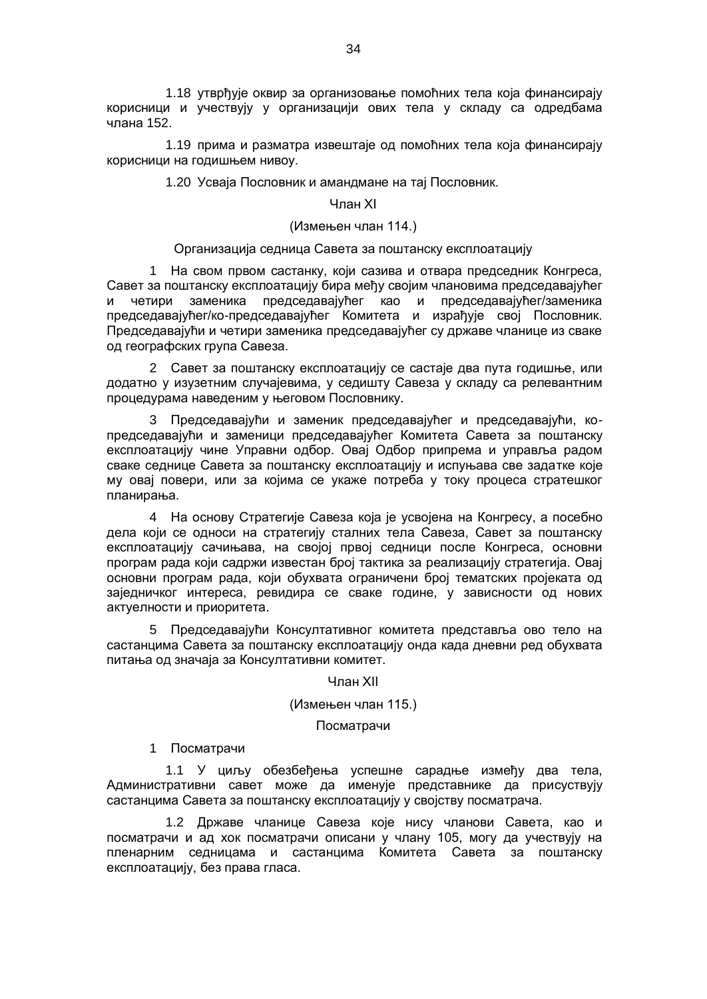1.18 утврђује оквир за организовање помоћних тела која финансирају корисници и учествују у организацији ових тела у складу са одредбама члана 152.

1.19 прима и разматра извештаје од помоћних тела која финансирају корисници на годишњем нивоу.

1.20 Усваја Пословник и амандмане на тај Пословник.

#### Члан XI

## (Измењен члан 114.)

#### Организација седница Савета за поштанску експлоатацију

1 На свом првом састанку, који сазива и отвара председник Конгреса, Савет за поштанску експлоатацију бира међу својим члановима председавајућег и четири заменика председавајућег као и председавајућег/заменика председавајућег/ко-председавајућег Комитета и израђује свој Пословник. Председавајући и четири заменика председавајућег су државе чланице из сваке од географских група Савеза.

2 Савет за поштанску експлоатацију се састаје два пута годишње, или додатно у изузетним случајевима, у седишту Савеза у складу са релевантним процедурама наведеним у његовом Пословнику.

3 Председавајући и заменик председавајућег и председавајући, копредседавајући и заменици председавајућег Комитета Савета за поштанску експлоатацију чине Управни одбор. Овај Одбор припрема и управља радом сваке седнице Савета за поштанску експлоатацију и испуњава све задатке које му овај повери, или за којима се укаже потреба у току процеса стратешког планирања.

4 На основу Стратегије Савеза која је усвојена на Конгресу, а посебно дела који се односи на стратегију сталних тела Савеза, Савет за поштанску експлоатацију сачињава, на својој првој седници после Конгреса, основни програм рада који садржи известан број тактика за реализацију стратегија. Овај основни програм рада, који обухвата ограничени број тематских пројеката од заједничког интереса, ревидира се сваке године, у зависности од нових актуелности и приоритета.

5 Председавајући Консултативног комитета представља ово тело на састанцима Савета за поштанску експлоатацију онда када дневни ред обухвата питања од значаја за Консултативни комитет.

#### Члан XII

## (Измењен члан 115.)

#### Посматрачи

## 1 Посматрачи

1.1 У циљу обезбеђења успешне сарадње између два тела, Административни савет може да именује представнике да присуствују састанцима Савета за поштанску експлоатацију у својству посматрача.

1.2 Државе чланице Савеза које нису чланови Савета, као и посматрачи и ад хок посматрачи описани у члану 105, могу да учествују на пленарним седницама и састанцима Комитета Савета за поштанску експлоатацију, без права гласа.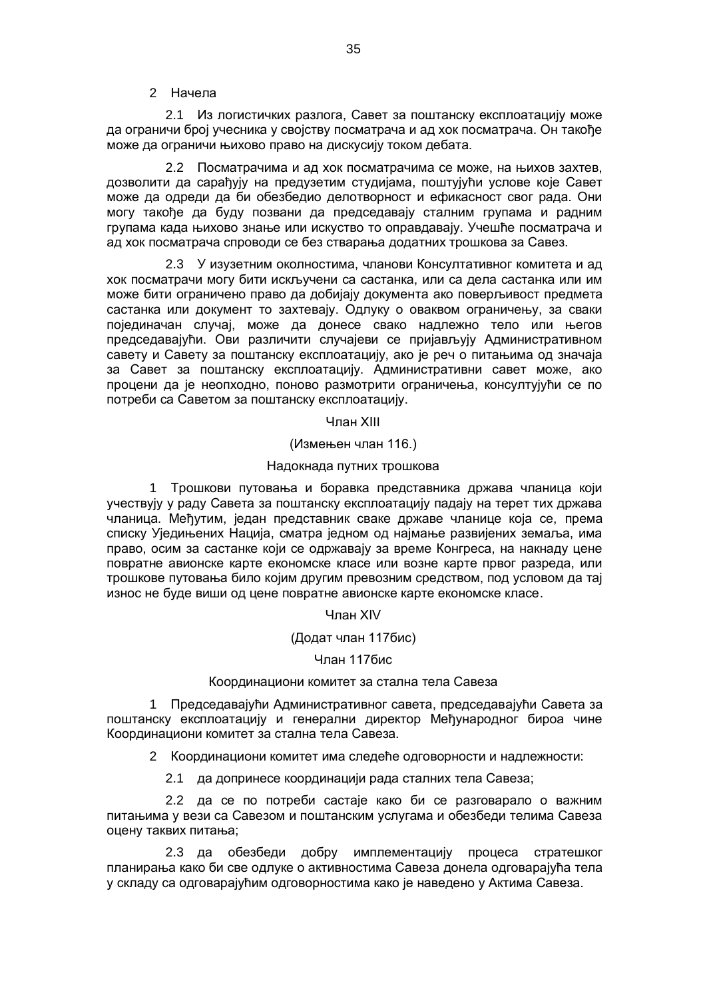## 2 Начела

2.1 Из логистичких разлога, Савет за поштанску експлоатацију може да ограничи број учесника у својству посматрача и ад хок посматрача. Он такође може да ограничи њихово право на дискусију током дебата.

2.2 Посматрачима и ад хок посматрачима се може, на њихов захтев, дозволити да сарађују на предузетим студијама, поштујући услове које Савет може да одреди да би обезбедио делотворност и ефикасност свог рада. Они могу такође да буду позвани да председавају сталним групама и радним групама када њихово знање или искуство то оправдавају. Учешће посматрача и ад хок посматрача спроводи се без стварања додатних трошкова за Савез.

2.3 У изузетним околностима, чланови Консултативног комитета и ад хок посматрачи могу бити искључени са састанка, или са дела састанка или им може бити ограничено право да добијају документа ако поверљивост предмета састанка или документ то захтевају. Одлуку о оваквом ограничењу, за сваки појединачан случај, може да донесе свако надлежно тело или његов председавајући. Ови различити случајеви се пријављују Административном савету и Савету за поштанску експлоатацију, ако је реч о питањима од значаја за Савет за поштанску експлоатацију. Административни савет може, ако процени да је неопходно, поново размотрити ограничења, консултујући се по потреби са Саветом за поштанску експлоатацију.

Члан XIII

(Измењен члан 116.)

#### Надокнада путних трошкова

1 Трошкови путовања и боравка представника држава чланица који учествују у раду Савета за поштанску експлоатацију падају на терет тих држава чланица. Међутим, један представник сваке државе чланице која се, према списку Уједињених Нација, сматра једном од најмање развијених земаља, има право, осим за састанке који се одржавају за време Конгреса, на накнаду цене повратне авионске карте економске класе или возне карте првог разреда, или трошкове путовања било којим другим превозним средством, под условом да тај износ не буде виши од цене повратне авионске карте економске класе.

Члан XIV

## (Додат члан 117бис)

## Члан 117бис

#### Координациони комитет за стална тела Савеза

1 Председавајући Административног савета, председавајући Савета за поштанску експлоатацију и генерални директор Међународног бироа чине Координациони комитет за стална тела Савеза.

2 Координациони комитет има следеће одговорности и надлежности:

2.1 да допринесе координацији рада сталних тела Савеза;

2.2 да се по потреби састаје како би се разговарало о важним питањима у вези са Савезом и поштанским услугама и обезбеди телима Савеза оцену таквих питања;

2.3 да обезбеди добру имплементацију процеса стратешког планирања како би све одлуке о активностима Савеза донела одговарајућа тела у складу са одговарајућим одговорностима како је наведено у Актима Савеза.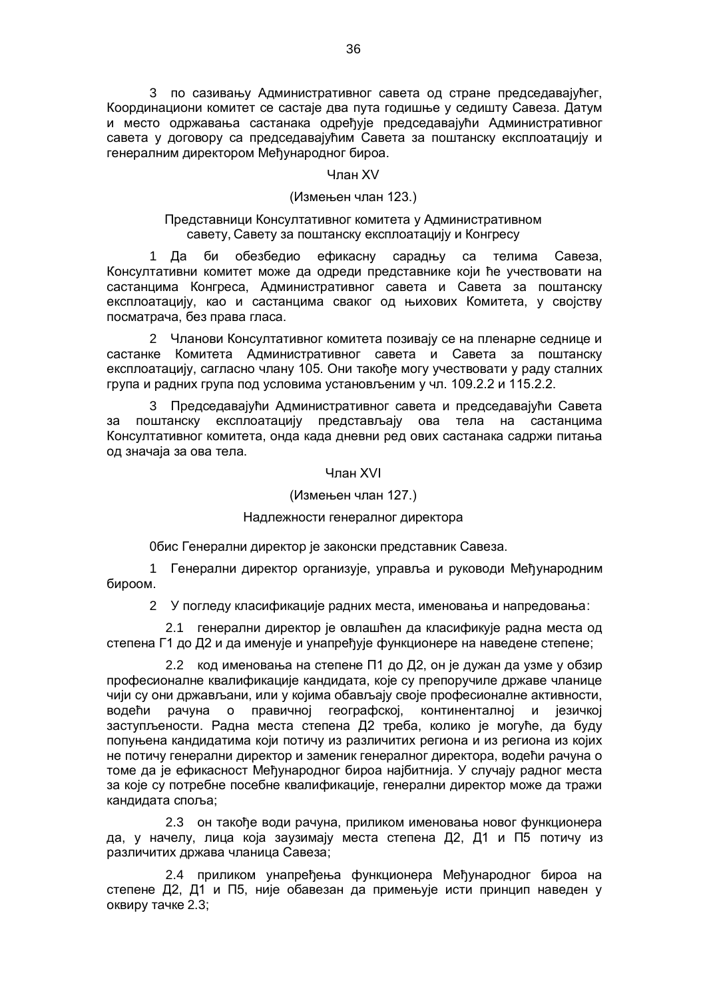3 по сазивању Административног савета од стране председавајућег, Координациони комитет се састаје два пута годишње у седишту Савеза. Датум и место одржавања састанака одређује председавајући Административног савета у договору са председавајућим Савета за поштанску експлоатацију и генералним директором Међународног бироа.

## Члан XV

#### (Измењен члан 123.)

## Представници Консултативног комитета у Административном савету, Савету за поштанску експлоатацију и Конгресу

1 Да би обезбедио ефикасну сарадњу са телима Савеза, Консултативни комитет може да одреди представнике који ће учествовати на састанцима Конгреса, Административног савета и Савета за поштанску експлоатацију, као и састанцима сваког од њихових Комитета, у својству посматрача, без права гласа.

2 Чланови Консултативног комитета позивају се на пленарне седнице и састанке Комитета Административног савета и Савета за поштанску експлоатацију, сагласно члану 105. Они такође могу учествовати у раду сталних група и радних група под условима установљеним у чл. 109.2.2 и 115.2.2.

3 Председавајући Административног савета и председавајући Савета за поштанску експлоатацију представљају ова тела на састанцима Консултативног комитета, онда када дневни ред ових састанака садржи питања од значаја за ова тела.

#### Члан XVI

## (Измењен члан 127.)

## Надлежности генералног директора

0бис Генерални директор је законски представник Савеза.

1 Генерални директор организује, управља и руководи Међународним бироом.

2 У погледу класификације радних места, именовања и напредовања:

2.1 генерални директор је овлашћен да класификује радна места од степена Г1 до Д2 и да именује и унапређује функционере на наведене степене;

2.2 код именовања на степене П1 до Д2, он је дужан да узме у обзир професионалне квалификације кандидата, које су препоручиле државе чланице чији су они држављани, или у којима обављају своје професионалне активности, водећи рачуна о правичној географској, континенталној и језичкој заступљености. Радна места степена Д2 треба, колико је могуће, да буду попуњена кандидатима који потичу из различитих региона и из региона из којих не потичу генерални директор и заменик генералног директора, водећи рачуна о томе да је ефикасност Међународног бироа најбитнија. У случају радног места за које су потребне посебне квалификације, генерални директор може да тражи кандидата споља;

2.3 он такође води рачуна, приликом именовања новог функционера да, у начелу, лица која заузимају места степена Д2, Д1 и П5 потичу из различитих држава чланица Савеза;

2.4 приликом унапређења функционера Међународног бироа на степене Д2, Д1 и П5, није обавезан да примењује исти принцип наведен у оквиру тачке 2.3;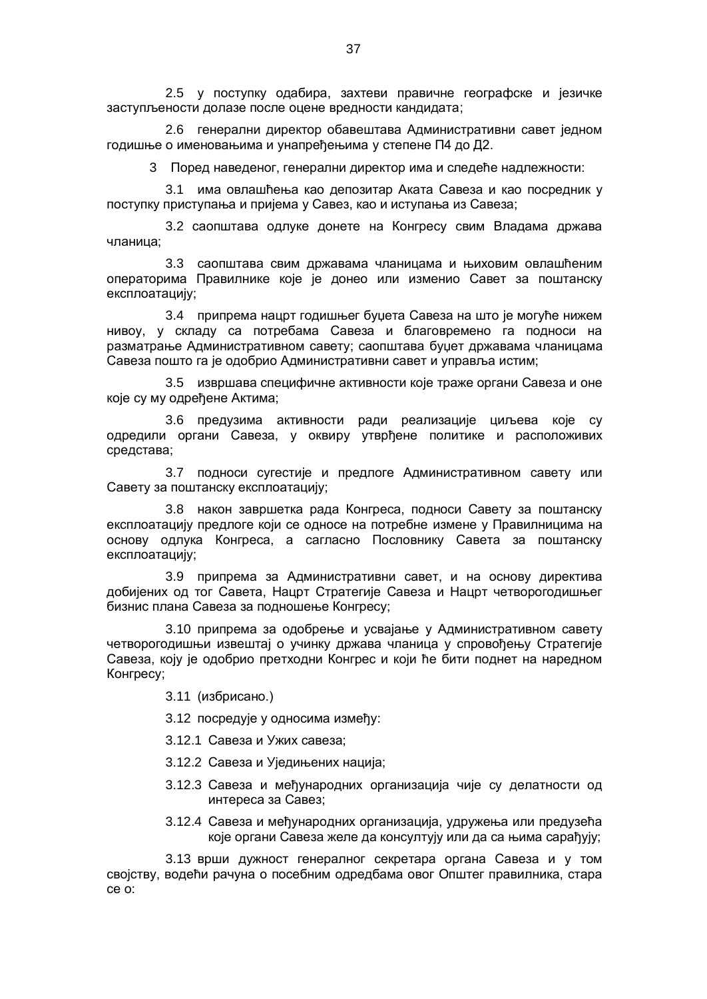2.5 у поступку одабира, захтеви правичне географске и језичке заступљености долазе после оцене вредности кандидата;

2.6 генерални директор обавештава Административни савет једном годишње о именовањима и унапређењима у степене П4 до Д2.

3 Поред наведеног, генерални директор има и следеће надлежности:

3.1 има овлашћења као депозитар Аката Савеза и као посредник у поступку приступања и пријема у Савез, као и иступања из Савеза;

3.2 саопштава одлуке донете на Конгресу свим Владама држава чланица;

3.3 саопштава свим државама чланицама и њиховим овлашћеним операторима Правилнике које је донео или изменио Савет за поштанску експлоатацију;

3.4 припрема нацрт годишњег буџета Савеза на што је могуће нижем нивоу, у складу са потребама Савеза и благовремено га подноси на разматрање Административном савету; саопштава буџет државама чланицама Савеза пошто га је одобрио Административни савет и управља истим;

3.5 извршава специфичне активности које траже органи Савеза и оне које су му одређене Актима;

3.6 предузима активности ради реализације циљева које су одредили органи Савеза, у оквиру утврђене политике и расположивих средстава;

3.7 подноси сугестије и предлоге Административном савету или Савету за поштанску експлоатацију;

3.8 након завршетка рада Конгреса, подноси Савету за поштанску експлоатацију предлоге који се односе на потребне измене у Правилницима на основу одлука Конгреса, а сагласно Пословнику Савета за поштанску експлоатацију;

3.9 припрема за Административни савет, и на основу директива добијених од тог Савета, Нацрт Стратегије Савеза и Нацрт четворогодишњег бизнис плана Савеза за подношење Конгресу;

3.10 припрема за одобрење и усвајање у Административном савету четворогодишњи извештај о учинку држава чланица у спровођењу Стратегије Савеза, коју је одобрио претходни Конгрес и који ће бити поднет на наредном Конгресу;

3.11 (избрисано.)

3.12 посредује у односима између:

3.12.1 Савеза и Ужих савеза;

3.12.2 Савеза и Уједињених нација;

- 3.12.3 Савеза и међународних организација чије су делатности од интереса за Савез;
- 3.12.4 Савеза и међународних организација, удружења или предузећа које органи Савеза желе да консултују или да са њима сарађују;

3.13 врши дужност генералног секретара органа Савеза и у том својству, водећи рачуна о посебним одредбама овог Општег правилника, стара се о: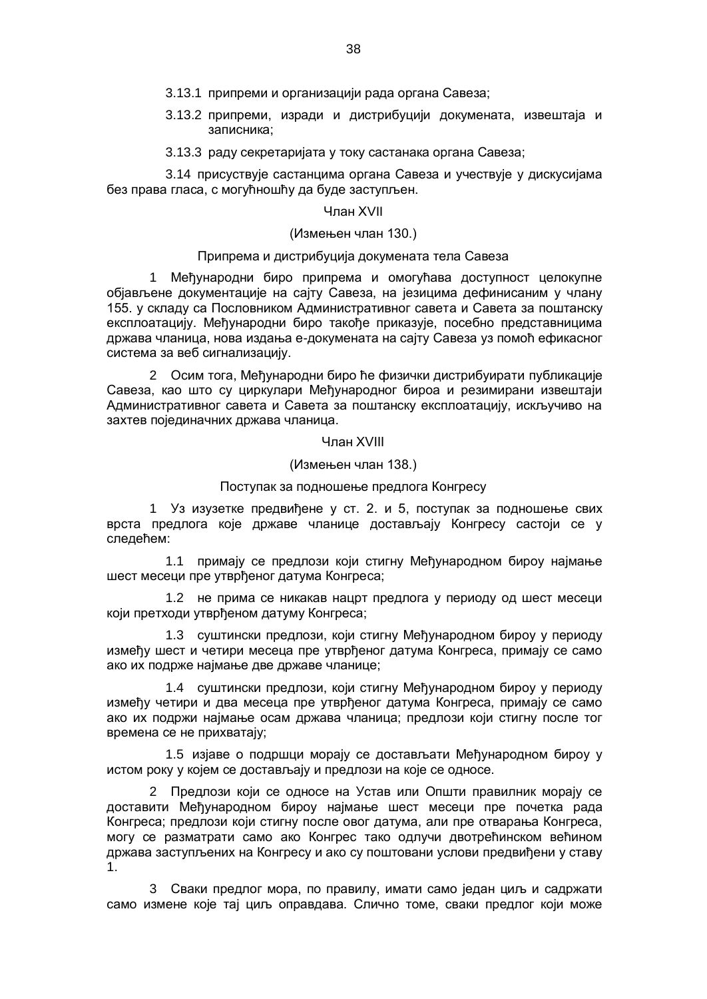- 3.13.1 припреми и организацији рада органа Савеза;
- 3.13.2 припреми, изради и дистрибуцији докумената, извештаја и записника;
- 3.13.3 раду секретаријата у току састанака органа Савеза;

3.14 присуствује састанцима органа Савеза и учествује у дискусијама без права гласа, с могућношћу да буде заступљен.

#### Члан XVII

#### (Измењен члан 130.)

#### Припрема и дистрибуција докумената тела Савеза

1 Међународни биро припрема и омогућава доступност целокупне објављене документације на сајту Савеза, на језицима дефинисаним у члану 155. у складу са Пословником Административног савета и Савета за поштанску експлоатацију. Међународни биро такође приказује, посебно представницима држава чланица, нова издања е-докумената на сајту Савеза уз помоћ ефикасног система за веб сигнализацију.

2 Осим тога, Међународни биро ће физички дистрибуирати публикације Савеза, као што су циркулари Међународног бироа и резимирани извештаји Административног савета и Савета за поштанску експлоатацију, искључиво на захтев појединачних држава чланица.

Члан XVIII

(Измењен члан 138.)

#### Поступак за подношење предлога Конгресу

1 Уз изузетке предвиђене у ст. 2. и 5, поступак за подношење свих врста предлога које државе чланице достављају Конгресу састоји се у следећем:

1.1 примају се предлози који стигну Међународном бироу најмање шест месеци пре утврђеног датума Конгреса;

1.2 не прима се никакав нацрт предлога у периоду од шест месеци који претходи утврђеном датуму Конгреса;

1.3 суштински предлози, који стигну Међународном бироу у периоду између шест и четири месеца пре утврђеног датума Конгреса, примају се само ако их подрже најмање две државе чланице;

1.4 суштински предлози, који стигну Међународном бироу у периоду између четири и два месеца пре утврђеног датума Конгреса, примају се само ако их подржи најмање осам држава чланица; предлози који стигну после тог времена се не прихватају;

1.5 изјаве о подршци морају се достављати Међународном бироу у истом року у којем се достављају и предлози на које се односе.

2 Предлози који се односе на Устав или Општи правилник морају се доставити Међународном бироу најмање шест месеци пре почетка рада Конгреса; предлози који стигну после овог датума, али пре отварања Конгреса, могу се разматрати само ако Конгрес тако одлучи двотрећинском већином држава заступљених на Конгресу и ако су поштовани услови предвиђени у ставу 1.

3 Сваки предлог мора, по правилу, имати само један циљ и садржати само измене које тај циљ оправдава. Слично томе, сваки предлог који може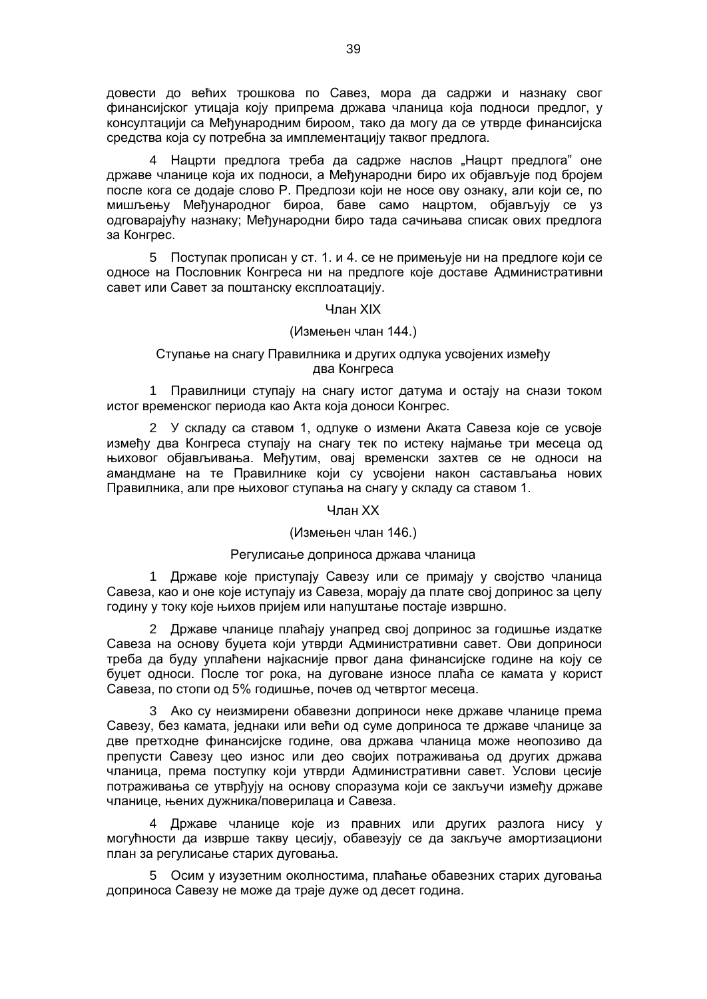довести до већих трошкова по Савез, мора да садржи и назнаку свог финансијског утицаја коју припрема држава чланица која подноси предлог, у консултацији са Међународним бироом, тако да могу да се утврде финансијска средства која су потребна за имплементацију таквог предлога.

4 Нацрти предлога треба да садрже наслов "Нацрт предлога" оне државе чланице која их подноси, а Међународни биро их објављује под бројем после кога се додаје слово Р. Предлози који не носе ову ознаку, али који се, по мишљењу Међународног бироа, баве само нацртом, објављују се уз одговарајућу назнаку; Међународни биро тада сачињава списак ових предлога за Конгрес.

5 Поступак прописан у ст. 1. и 4. се не примењује ни на предлоге који се односе на Пословник Конгреса ни на предлоге које доставе Административни савет или Савет за поштанску експлоатацију.

#### Члан XIX

## (Измењен члан 144.)

## Ступање на снагу Правилника и других одлука усвојених између два Конгреса

1 Правилници ступају на снагу истог датума и остају на снази током истог временског периода као Акта која доноси Конгрес.

2 У складу са ставом 1, одлуке о измени Аката Савеза које се усвоје између два Конгреса ступају на снагу тек по истеку најмање три месеца од њиховог објављивања. Међутим, овај временски захтев се не односи на амандмане на те Правилнике који су усвојени након састављања нових Правилника, али пре њиховог ступања на снагу у складу са ставом 1.

#### Члан XX

#### (Измењен члан 146.)

## Регулисање доприноса држава чланица

1 Државе које приступају Савезу или се примају у својство чланица Савеза, као и оне које иступају из Савеза, морају да плате свој допринос за целу годину у току које њихов пријем или напуштање постаје извршно.

2 Државе чланице плаћају унапред свој допринос за годишње издатке Савеза на основу буџета који утврди Административни савет. Ови доприноси треба да буду уплаћени најкасније првог дана финансијске године на коју се буџет односи. После тог рока, на дуговане износе плаћа се камата у корист Савеза, по стопи од 5% годишње, почев од четвртог месецa.

3 Ако су неизмирени обавезни доприноси неке државе чланице према Савезу, без камата, једнаки или већи од суме доприноса те државе чланице за две претходне финансијске године, ова држава чланица може неопозиво да препусти Савезу цео износ или део својих потраживања од других држава чланица, према поступку који утврди Административни савет. Услови цесије потраживања се утврђују на основу споразума који се закључи између државе чланице, њених дужника/поверилаца и Савеза.

4 Државе чланице које из правних или других разлога нису у могућности да изврше такву цесију, обавезују се да закључе амортизациони план за регулисање старих дуговања.

5 Осим у изузетним околностима, плаћање обавезних старих дуговања доприноса Савезу не може да траје дуже од десет година.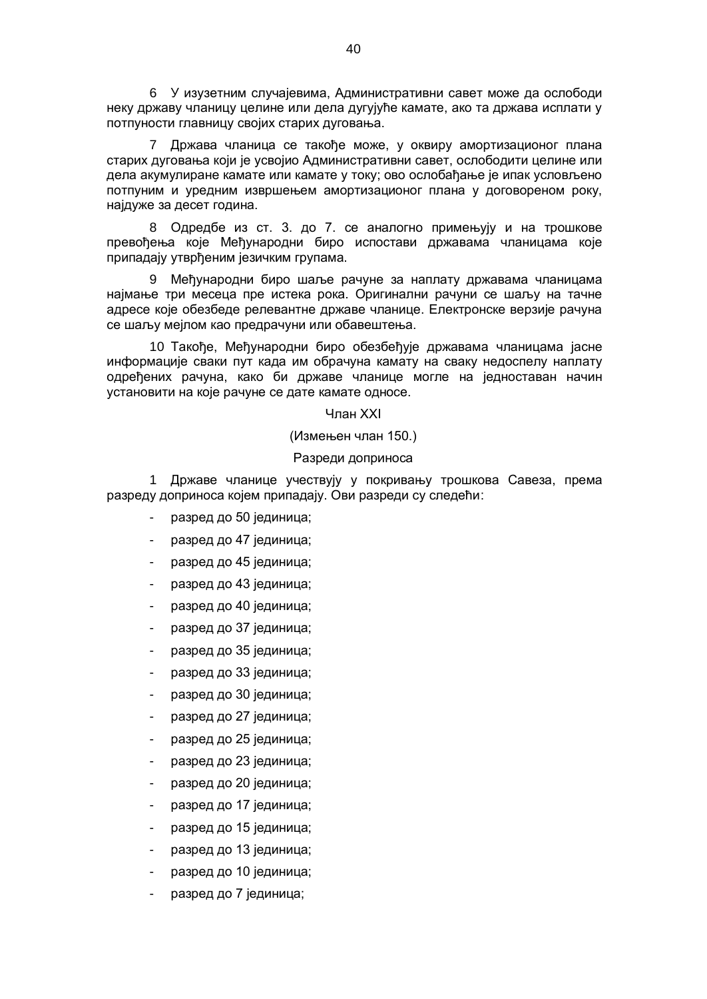6 У изузетним случајевима, Административни савет може да ослободи неку државу чланицу целине или дела дугујуће камате, ако та држава исплати у потпуности главницу својих старих дуговања.

7 Држава чланица се такође може, у оквиру амортизационог плана старих дуговања који је усвојио Административни савет, ослободити целине или дела акумулиране камате или камате у току; ово ослобађање је ипак условљено потпуним и уредним извршењем амортизационог плана у договореном року, најдуже за десет година.

8 Одредбе из ст. 3. до 7. се аналогно примењују и на трошкове превођења које Међународни биро испостави државама чланицама које припадају утврђеним језичким групама.

9 Међународни биро шаље рачуне за наплату државама чланицама најмање три месеца пре истека рока. Оригинални рачуни се шаљу на тачне адресе које обезбеде релевантне државе чланице. Електронске верзије рачуна се шаљу мејлом као предрачуни или обавештења.

10 Такође, Међународни биро обезбеђује државама чланицама јасне информације сваки пут када им обрачуна камату на сваку недоспелу наплату одређених рачуна, како би државе чланице могле на једноставан начин установити на које рачуне се дате камате односе.

#### Члан XXI

(Измењен члан 150.)

#### Разреди доприноса

1 Државе чланице учествују у покривању трошкова Савеза, према разреду доприноса којем припадају. Ови разреди су следећи:

- разред до 50 јединица;
- разред до 47 јединица;
- разред до 45 јединица;
- разред до 43 јединица;
- разред до 40 јединица;
- разред до 37 јединица;
- разред до 35 јединица;
- разред до 33 јединица;
- разред до 30 јединица;
- разред до 27 јединица;
- разред до 25 јединица;
- разред до 23 јединица;
- разред до 20 јединица;
- разред до 17 јединица;
- разред до 15 јединица;
- разред до 13 јединица;
- разред до 10 јединица;
- разред до 7 јединица;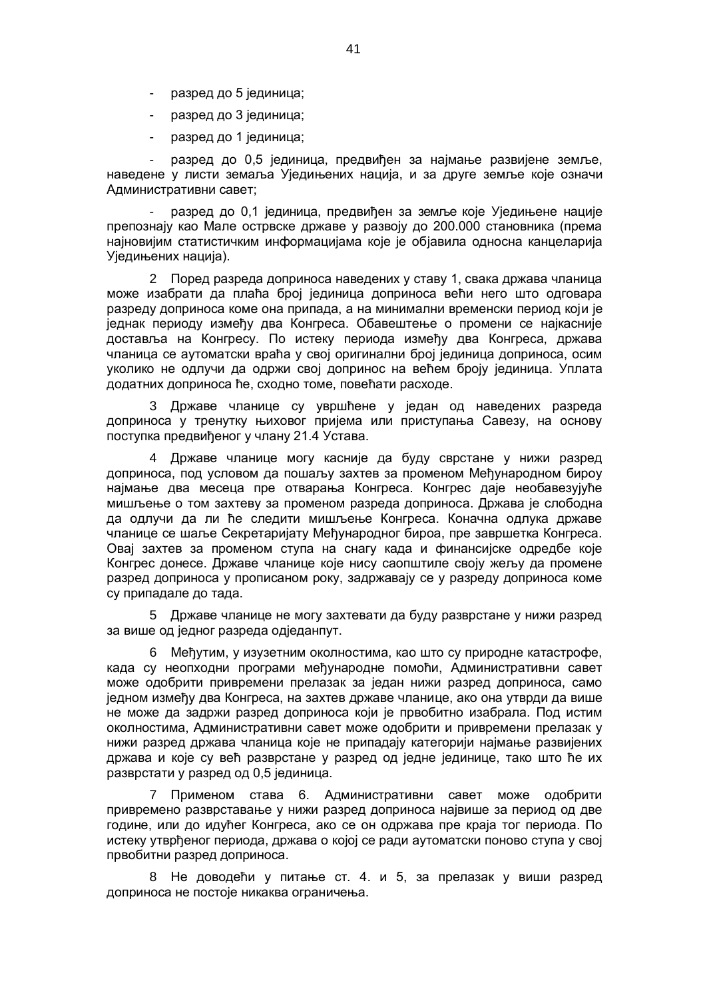- разред до 5 јединица;
- разред до 3 јединица;
- разред до 1 јединица;

- разред до 0,5 јединица, предвиђен за најмање развијене земље, наведене у листи земаља Уједињених нација, и за друге земље које означи Административни савет;

- разред до 0,1 јединица, предвиђен за земље које Уједињене нације препознају као Мале острвске државе у развоју до 200.000 становника (према најновијим статистичким информацијама које је објавила односна канцеларија Уједињених нација).

2 Поред разреда доприноса наведених у ставу 1, свака држава чланица може изабрати да плаћа број јединица доприноса већи него што одговара разреду доприноса коме она припада, а на минимални временски период који је једнак периоду између два Конгреса. Обавештење о промени се најкасније доставља на Конгресу. По истеку периода између два Конгреса, држава чланица се аутоматски враћа у свој оригинални број јединица доприноса, осим уколико не одлучи да одржи свој допринос на већем броју јединица. Уплата додатних доприноса ће, сходно томе, повећати расходе.

3 Државе чланице су увршћене у један од наведених разреда доприноса у тренутку њиховог пријема или приступања Савезу, на основу поступка предвиђеног у члану 21.4 Устава.

4 Државе чланице могу касније да буду сврстане у нижи разред доприноса, под условом да пошаљу захтев за променом Међународном бироу најмање два месеца пре отварања Конгреса. Конгрес даје необавезујуће мишљење о том захтеву за променом разреда доприноса. Држава је слободна да одлучи да ли ће следити мишљење Конгреса. Коначна одлука државе чланице се шаље Секретаријату Међународног бироа, пре завршетка Конгреса. Овај захтев за променом ступа на снагу када и финансијске одредбе које Конгрес донесе. Државе чланице које нису саопштиле своју жељу да промене разред доприноса у прописаном року, задржавају се у разреду доприноса коме су припадале до тада.

5 Државе чланице не могу захтевати да буду разврстане у нижи разред за више од једног разреда одједанпут.

6 Међутим, у изузетним околностима, као што су природне катастрофе, када су неопходни програми међународне помоћи, Административни савет може одобрити привремени прелазак за један нижи разред доприноса, само једном између два Конгреса, на захтев државе чланице, ако она утврди да више не може да задржи разред доприноса који је првобитно изабрала. Под истим околностима, Административни савет може одобрити и привремени прелазак у нижи разред држава чланица које не припадају категорији најмање развијених држава и које су већ разврстане у разред од једне јединице, тако што ће их разврстати у разред од 0,5 јединица.

7 Применом става 6. Административни савет може одобрити привремено разврставање у нижи разред доприноса највише за период од две године, или до идућег Конгреса, ако се он одржава пре краја тог периода. По истеку утврђеног периода, држава о којој се ради аутоматски поново ступа у свој првобитни разред доприноса.

8 Не доводећи у питање ст. 4. и 5, за прелазак у виши разред доприноса не постоје никаква ограничења.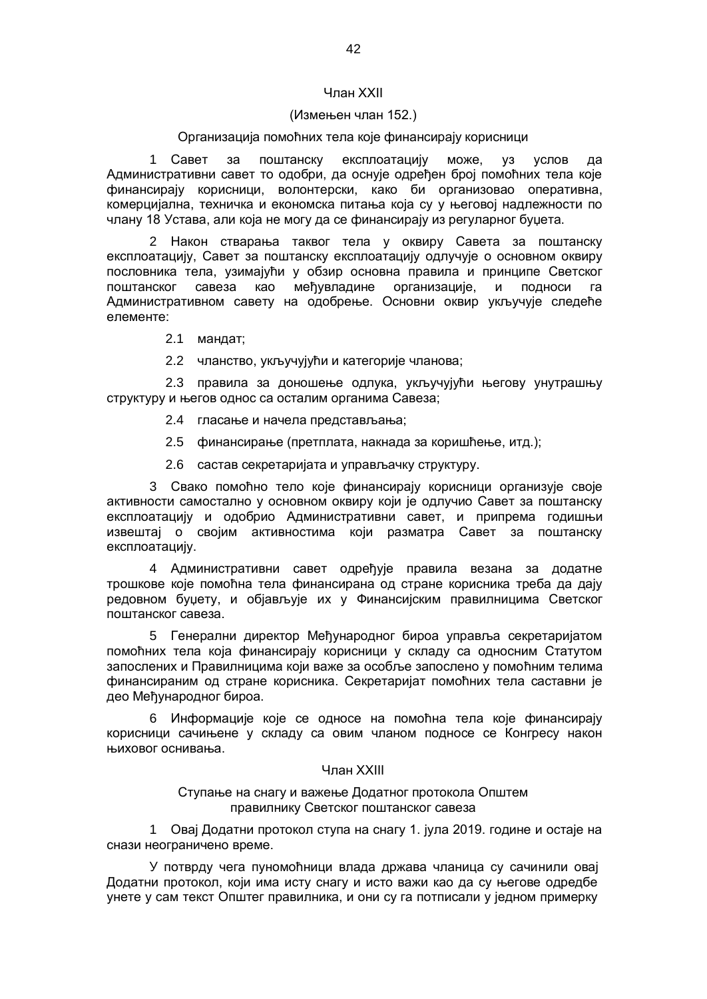## Члан XXII

#### (Измењен члан 152.)

## Организација помоћних тела које финансирају корисници

1 Савет за поштанску експлоатацију може, уз услов да Административни савет то одобри, да оснује одређен број помоћних тела које финансирају корисници, волонтерски, како би организовао оперативна, комерцијална, техничка и економска питања која су у његовој надлежности по члану 18 Устава, али која не могу да се финансирају из регуларног буџета.

2 Након стварања таквог тела у оквиру Савета за поштанску експлоатацију, Савет за поштанску експлоатацију одлучује о основном оквиру пословника тела, узимајући у обзир основна правила и принципе Светског поштанског савеза као међувладине организације, и подноси га Административном савету на одобрење. Основни оквир укључује следеће елементе:

2.1 мандат;

2.2 чланство, укључујући и категорије чланова;

2.3 правила за доношење одлука, укључујући његову унутрашњу структуру и његов однос са осталим органима Савеза;

- 2.4 гласање и начела представљања;
- 2.5 финансирање (претплата, накнада за коришћење, итд.);
- 2.6 састав секретаријата и управљачку структуру.

3 Свако помоћно тело које финансирају корисници организује своје активности самостално у основном оквиру који је одлучио Савет за поштанску експлоатацију и одобрио Административни савет, и припрема годишњи извештај о својим активностима који разматра Савет за поштанску експлоатацију.

4 Административни савет одређује правила везана за додатне трошкове које помоћна тела финансирана од стране корисника треба да дају редовном буџету, и објављује их у Финансијским правилницима Светског поштанског савеза.

5 Генерални директор Међународног бироа управља секретаријатом помоћних тела која финансирају корисници у складу са односним Статутом запослених и Правилницима који важе за особље запослено у помоћним телима финансираним од стране корисника. Секретаријат помоћних тела саставни је део Међународног бироа.

6 Информације које се односе на помоћна тела које финансирају корисници сачињене у складу са овим чланом подносе се Конгресу након њиховог оснивања.

#### Члан XXIII

Ступање на снагу и важење Додатног протокола Општем правилнику Светског поштанског савеза

1 Овај Додатни протокол ступа на снагу 1. јула 2019. године и остаје на снази неограничено време.

У потврду чега пуномоћници влада држава чланица су сачинили овај Додатни протокол, који има исту снагу и исто важи као да су његове одредбе унете у сам текст Општег правилника, и они су га потписали у једном примерку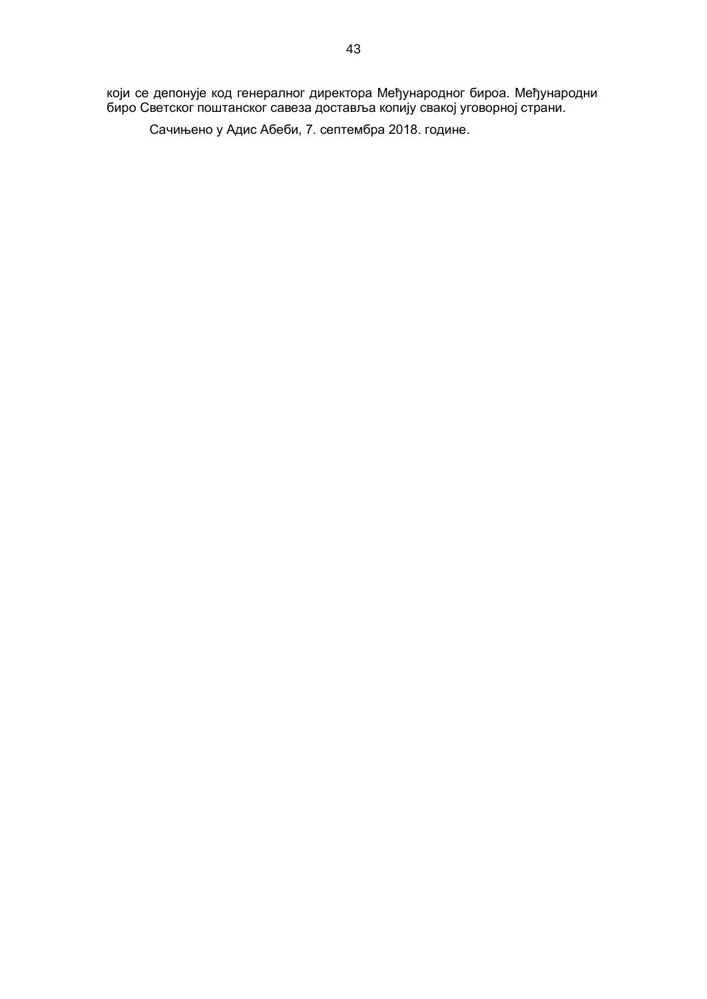који се депонује код генералног директора Међународног бироа. Међународни биро Светског поштанског савеза доставља копију свакој уговорној страни.

Сачињено у Адис Абеби, 7. септембра 2018. године.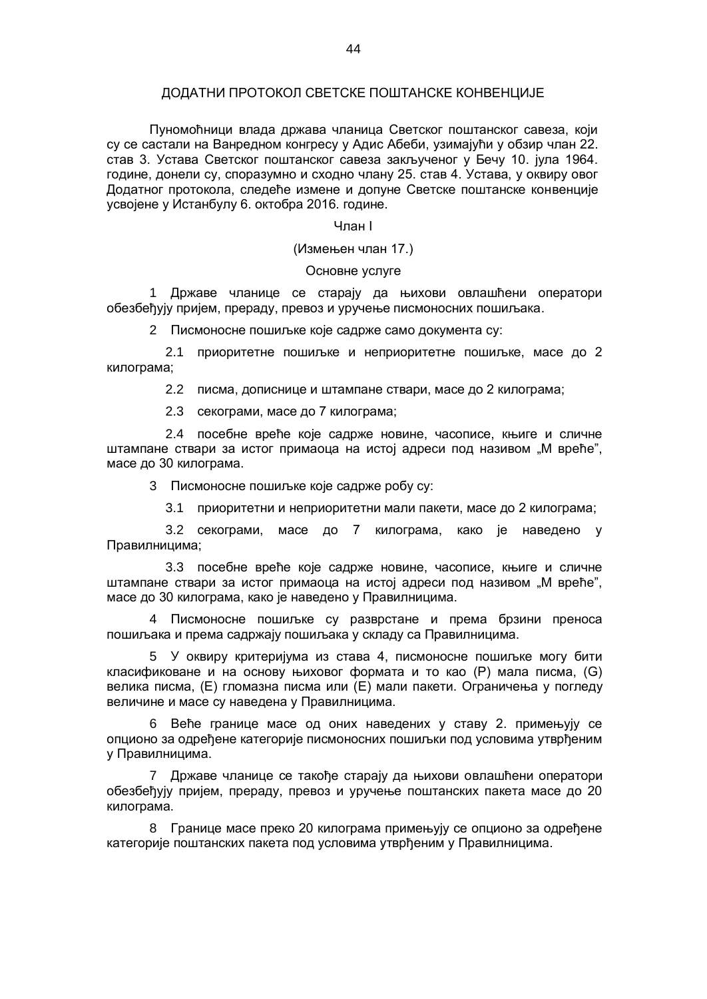#### ДОДАТНИ ПРОТОКОЛ СВЕТСКЕ ПОШТАНСКЕ КОНВЕНЦИЈЕ

Пуномоћници влада држава чланица Светског поштанског савеза, који су се састали на Ванредном конгресу у Адис Абеби, узимајући у обзир члан 22. став 3. Устава Светског поштанског савеза закљученог у Бечу 10. јула 1964. године, донели су, споразумно и сходно члану 25. став 4. Устава, у оквиру овог Додатног протокола, следеће измене и допуне Светске поштанске конвенције усвојене у Истанбулу 6. октобра 2016. године.

#### Члан I

#### (Измењен члан 17.)

#### Основне услуге

1 Државе чланице се старају да њихови овлашћени оператори обезбеђују пријем, прераду, превоз и уручење писмоносних пошиљака.

2 Писмоносне пошиљке које садрже само документа су:

2.1 приоритетне пошиљке и неприоритетне пошиљке, масе до 2 килограма;

2.2 писма, дописнице и штампане ствари, масе до 2 килограма;

2.3 секограми, масе до 7 килограма;

2.4 посебне вреће које садрже новине, часописе, књиге и сличне штампане ствари за истог примаоца на истој адреси под називом "М вреће", масе до 30 килограма.

3 Писмоносне пошиљке које садрже робу су:

3.1 приоритетни и неприоритетни мали пакети, масе до 2 килограма;

3.2 секограми, масе до 7 килограма, како је наведено у Правилницима;

3.3 посебне вреће које садрже новине, часописе, књиге и сличне штампане ствари за истог примаоца на истој адреси под називом "М вреће", масе до 30 килограма, како је наведено у Правилницима.

4 Писмоносне пошиљке су разврстане и према брзини преноса пошиљака и према садржају пошиљака у складу са Правилницима.

5 У оквиру критеријума из става 4, писмоносне пошиљке могу бити класификоване и на основу њиховог формата и то као (P) мала писма, (G) велика писма, (E) гломазна писма или (Е) мали пакети. Ограничења у погледу величине и масе су наведена у Правилницима.

6 Веће границе масе од оних наведених у ставу 2. примењују се опционо за одређене категорије писмоносних пошиљки под условима утврђеним у Правилницима.

7 Државе чланице се такође старају да њихови овлашћени оператори обезбеђују пријем, прераду, превоз и уручење поштанских пакета масе до 20 килограма.

8 Границе масе преко 20 килограма примењују се опционо за одређене категорије поштанских пакета под условима утврђеним у Правилницима.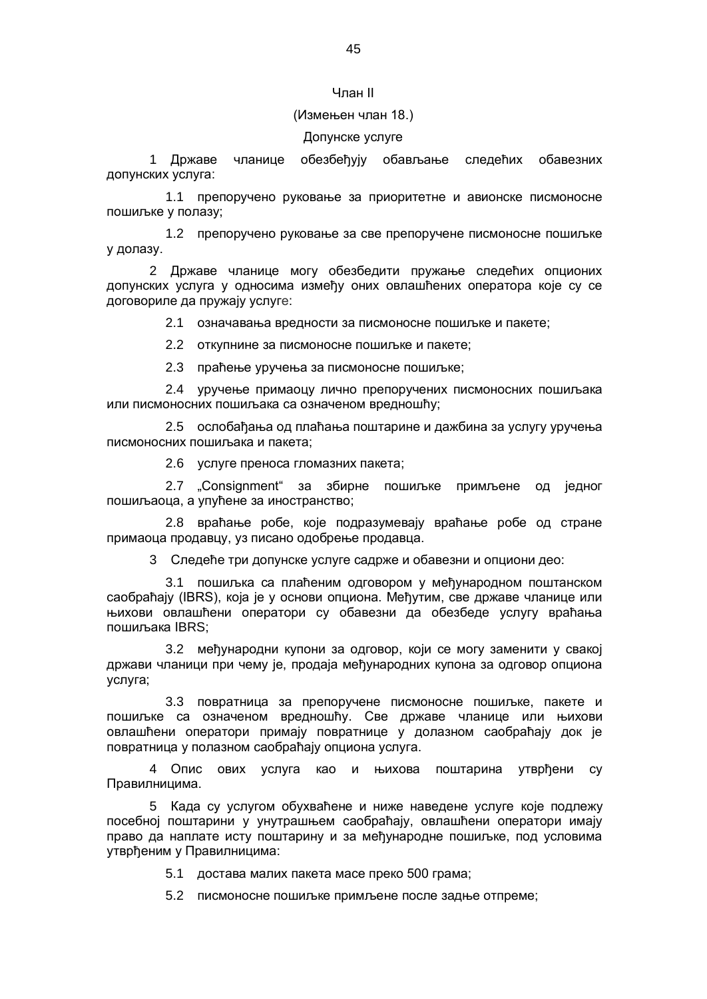#### Члан II

#### (Измењен члан 18.)

#### Допунске услуге

1 Државе чланице обезбеђују обављање следећих обавезних допунских услуга:

1.1 препоручено руковање за приоритетне и авионске писмоносне пошиљке у полазу;

1.2 препоручено руковање за све препоручене писмоносне пошиљке у долазу.

2 Државе чланице могу обезбедити пружање следећих опционих допунских услуга у односима између оних овлашћених оператора које су се договориле да пружају услуге:

2.1 означавања вредности за писмоносне пошиљке и пакете;

2.2 откупнине за писмоносне пошиљке и пакете;

2.3 праћење уручења за писмоносне пошиљке;

2.4 уручење примаоцу лично препоручених писмоносних пошиљака или писмоносних пошиљака са означеном вредношћу;

2.5 ослобађања од плаћања поштарине и дажбина за услугу уручења писмоносних пошиљака и пакета;

2.6 услуге преноса гломазних пакета;

2.7 "Consignment" за збирне пошиљке примљене од једног пошиљаоца, а упућене за иностранство;

2.8 враћање робе, које подразумевају враћање робе од стране примаоца продавцу, уз писано одобрење продавца.

3 Следеће три допунске услуге садрже и обавезни и опциони део:

3.1 пошиљка са плаћеним одговором у међународном поштанском саобраћају (IBRS), која је у основи опциона. Међутим, све државе чланице или њихови овлашћени оператори су обавезни да обезбеде услугу враћања пошиљака IBRS;

3.2 међународни купони за одговор, који се могу заменити у свакој држави чланици при чему је, продаја међународних купона за одговор опциона услуга;

3.3 повратница за препоручене писмоносне пошиљке, пакете и пошиљке са означеном вредношћу. Све државе чланице или њихови овлашћени оператори примају повратнице у долазном саобраћају док је повратница у полазном саобраћају опциона услуга.

4 Опис ових услуга као и њихова поштарина утврђени су Правилницима.

5 Када су услугом обухваћене и ниже наведене услуге које подлежу посебној поштарини у унутрашњем саобраћају, овлашћени оператори имају право да наплате исту поштарину и за међународне пошиљке, под условима утврђеним у Правилницима:

5.1 достава малих пакета масе преко 500 грама;

5.2 писмоносне пошиљке примљене после задње отпреме;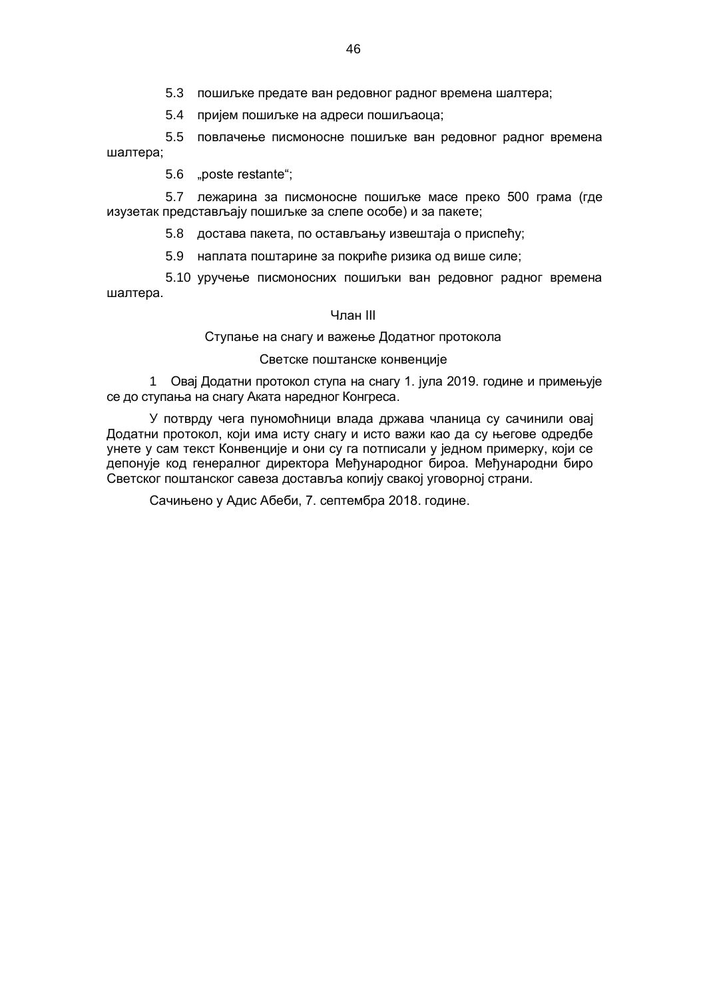5.3 пошиљке предате ван редовног радног времена шалтера;

5.4 пријем пошиљке на адреси пошиљаоца;

5.5 повлачење писмоносне пошиљке ван редовног радног времена шалтера;

5.6 "poste restante";

5.7 лежарина за писмоносне пошиљке масе преко 500 грама (где изузетак представљају пошиљке за слепе особе) и за пакете;

5.8 достава пакета, по остављању извештаја о приспећу;

5.9 наплата поштарине за покриће ризика од више силе;

5.10 уручење писмоносних пошиљки ван редовног радног времена шалтера.

#### Члан III

Ступање на снагу и важење Додатног протокола

#### Светске поштанске конвенције

1 Овај Додатни протокол ступа на снагу 1. јула 2019. године и примењује се до ступања на снагу Аката наредног Конгреса.

У потврду чега пуномоћници влада држава чланица су сачинили овај Додатни протокол, који има исту снагу и исто важи као да су његове одредбе унете у сам текст Конвенције и они су га потписали у једном примерку, који се депонује код генералног директора Међународног бироа. Међународни биро Светског поштанског савеза доставља копију свакој уговорној страни.

Сачињено у Адис Абеби, 7. септембра 2018. године.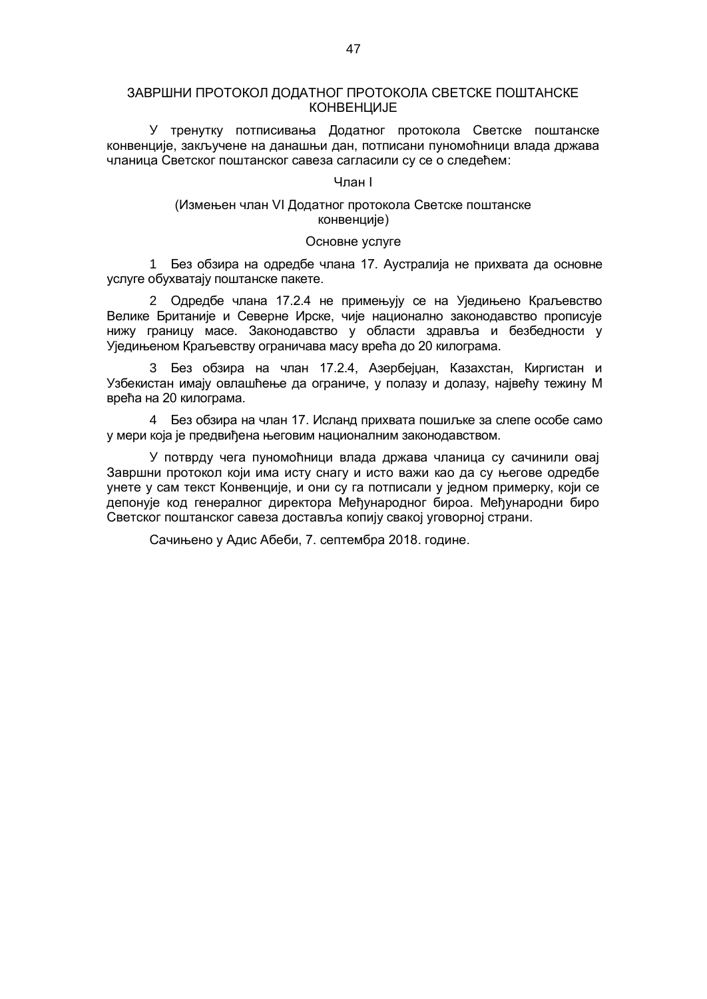#### ЗАВРШНИ ПРОТОКОЛ ДОДАТНОГ ПРОТОКОЛА СВЕТСКЕ ПОШТАНСКЕ КОНВЕНЦИЈЕ

У тренутку потписивања Додатног протокола Светске поштанске конвенције, закључене на данашњи дан, потписани пуномоћници влада држава чланица Светског поштанског савеза сагласили су се о следећем:

#### Члан I

## (Измењен члан VI Додатног протокола Светске поштанске конвенције)

#### Основне услуге

1 Без обзира на одредбе члана 17. Аустралија не прихвата да основне услуге обухватају поштанске пакете.

2 Одредбе члана 17.2.4 не примењују се на Уједињено Краљевство Велике Британије и Северне Ирске, чије национално законодавство прописује нижу границу масе. Законодавство у области здравља и безбедности у Уједињеном Краљевству ограничава масу врећа до 20 килограма.

3 Без обзира на члан 17.2.4, Азербејџан, Казахстан, Киргистан и Узбекистан имају овлашћење да ограниче, у полазу и долазу, највећу тежину М врећа на 20 килограма.

4 Без обзира на члан 17. Исланд прихвата пошиљке за слепе особе само у мери која је предвиђена његовим националним законодавством.

У потврду чега пуномоћници влада држава чланица су сачинили овај Завршни протокол који има исту снагу и исто важи као да су његове одредбе унете у сам текст Конвенције, и они су га потписали у једном примерку, који се депонује код генералног директора Међународног бироа. Међународни биро Светског поштанског савеза доставља копију свакој уговорној страни.

Сачињено у Адис Абеби, 7. септембра 2018. године.